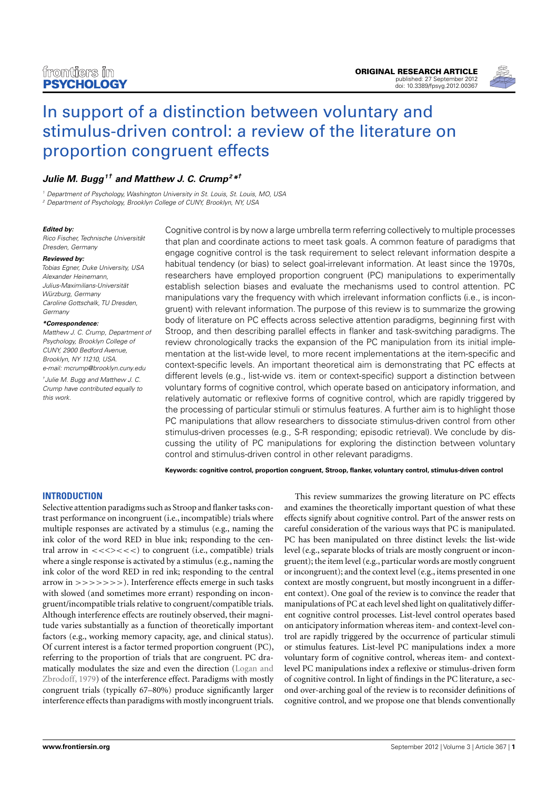

# [In support of a distinction between voluntary and](http://www.frontiersin.org/Cognition/10.3389/fpsyg.2012.00367/abstract) [stimulus-driven control: a review of the literature on](http://www.frontiersin.org/Cognition/10.3389/fpsyg.2012.00367/abstract) [proportion congruent effects](http://www.frontiersin.org/Cognition/10.3389/fpsyg.2012.00367/abstract)

# **[Julie M. Bugg](http://www.frontiersin.org/Community/WhosWhoActivity.aspx?sname=JulieBugg&UID=49486)<sup>1</sup>† and [Matthew J. C. Crump](http://www.frontiersin.org/people/MatthewCrump/12172)<sup>2</sup>\* †**

<sup>1</sup> Department of Psychology, Washington University in St. Louis, St. Louis, MO, USA <sup>2</sup> Department of Psychology, Brooklyn College of CUNY, Brooklyn, NY, USA

#### **Edited by:**

Rico Fischer, Technische Universität Dresden, Germany

#### **Reviewed by:**

Tobias Egner, Duke University, USA Alexander Heinemann, Julius-Maximilians-Universität Würzburg, Germany Caroline Gottschalk, TU Dresden, **Germany** 

#### **\*Correspondence:**

Matthew J. C. Crump, Department of Psychology, Brooklyn College of CUNY, 2900 Bedford Avenue, Brooklyn, NY 11210, USA. e-mail: [mcrump@brooklyn.cuny.edu](mailto:mcrump@brooklyn.cuny.edu)

†Julie M. Bugg and Matthew J. C. Crump have contributed equally to this work.

Cognitive control is by now a large umbrella term referring collectively to multiple processes that plan and coordinate actions to meet task goals. A common feature of paradigms that engage cognitive control is the task requirement to select relevant information despite a habitual tendency (or bias) to select goal-irrelevant information. At least since the 1970s, researchers have employed proportion congruent (PC) manipulations to experimentally establish selection biases and evaluate the mechanisms used to control attention. PC manipulations vary the frequency with which irrelevant information conflicts (i.e., is incongruent) with relevant information. The purpose of this review is to summarize the growing body of literature on PC effects across selective attention paradigms, beginning first with Stroop, and then describing parallel effects in flanker and task-switching paradigms. The review chronologically tracks the expansion of the PC manipulation from its initial implementation at the list-wide level, to more recent implementations at the item-specific and context-specific levels. An important theoretical aim is demonstrating that PC effects at different levels (e.g., list-wide vs. item or context-specific) support a distinction between voluntary forms of cognitive control, which operate based on anticipatory information, and relatively automatic or reflexive forms of cognitive control, which are rapidly triggered by the processing of particular stimuli or stimulus features. A further aim is to highlight those PC manipulations that allow researchers to dissociate stimulus-driven control from other stimulus-driven processes (e.g., S-R responding; episodic retrieval). We conclude by discussing the utility of PC manipulations for exploring the distinction between voluntary control and stimulus-driven control in other relevant paradigms.

**Keywords: cognitive control, proportion congruent, Stroop, flanker, voluntary control, stimulus-driven control**

### **INTRODUCTION**

Selective attention paradigms such as Stroop and flanker tasks contrast performance on incongruent (i.e., incompatible) trials where multiple responses are activated by a stimulus (e.g., naming the ink color of the word RED in blue ink; responding to the central arrow in  $\langle \langle \langle \rangle \rangle \langle \langle \rangle \rangle$  to congruent (i.e., compatible) trials where a single response is activated by a stimulus (e.g., naming the ink color of the word RED in red ink; responding to the central arrow in >>>>>>>). Interference effects emerge in such tasks with slowed (and sometimes more errant) responding on incongruent/incompatible trials relative to congruent/compatible trials. Although interference effects are routinely observed, their magnitude varies substantially as a function of theoretically important factors (e.g., working memory capacity, age, and clinical status). Of current interest is a factor termed proportion congruent (PC), referring to the proportion of trials that are congruent. PC dramatically modulates the size and even the direction [\(Logan and](#page-14-0) [Zbrodoff, 1979\)](#page-14-0) of the interference effect. Paradigms with mostly congruent trials (typically 67–80%) produce significantly larger interference effects than paradigms with mostly incongruent trials.

This review summarizes the growing literature on PC effects and examines the theoretically important question of what these effects signify about cognitive control. Part of the answer rests on careful consideration of the various ways that PC is manipulated. PC has been manipulated on three distinct levels: the list-wide level (e.g., separate blocks of trials are mostly congruent or incongruent); the item level (e.g., particular words are mostly congruent or incongruent); and the context level (e.g., items presented in one context are mostly congruent, but mostly incongruent in a different context). One goal of the review is to convince the reader that manipulations of PC at each level shed light on qualitatively different cognitive control processes. List-level control operates based on anticipatory information whereas item- and context-level control are rapidly triggered by the occurrence of particular stimuli or stimulus features. List-level PC manipulations index a more voluntary form of cognitive control, whereas item- and contextlevel PC manipulations index a reflexive or stimulus-driven form of cognitive control. In light of findings in the PC literature, a second over-arching goal of the review is to reconsider definitions of cognitive control, and we propose one that blends conventionally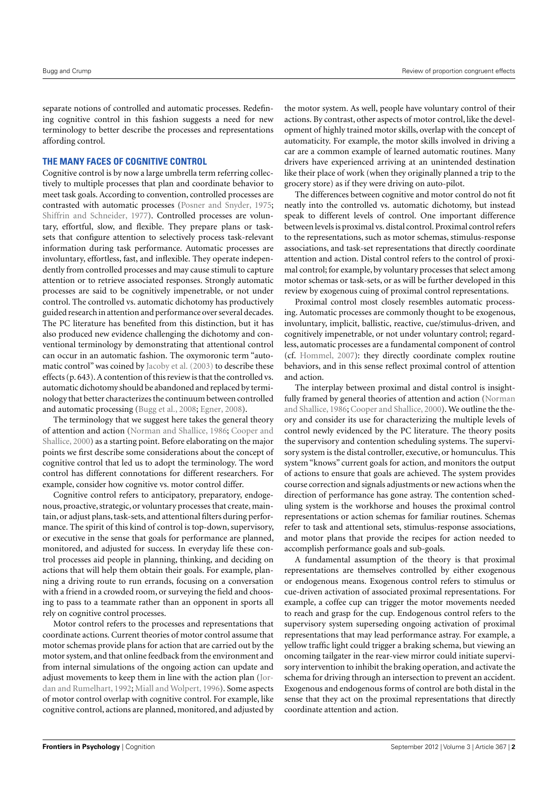separate notions of controlled and automatic processes. Redefining cognitive control in this fashion suggests a need for new terminology to better describe the processes and representations affording control.

#### **THE MANY FACES OF COGNITIVE CONTROL**

Cognitive control is by now a large umbrella term referring collectively to multiple processes that plan and coordinate behavior to meet task goals. According to convention, controlled processes are contrasted with automatic processes [\(Posner and Snyder,](#page-15-0) [1975;](#page-15-0) [Shiffrin and Schneider,](#page-15-1) [1977\)](#page-15-1). Controlled processes are voluntary, effortful, slow, and flexible. They prepare plans or tasksets that configure attention to selectively process task-relevant information during task performance. Automatic processes are involuntary, effortless, fast, and inflexible. They operate independently from controlled processes and may cause stimuli to capture attention or to retrieve associated responses. Strongly automatic processes are said to be cognitively impenetrable, or not under control. The controlled vs. automatic dichotomy has productively guided research in attention and performance over several decades. The PC literature has benefited from this distinction, but it has also produced new evidence challenging the dichotomy and conventional terminology by demonstrating that attentional control can occur in an automatic fashion. The oxymoronic term "automatic control" was coined by [Jacoby et al.](#page-14-1) [\(2003\)](#page-14-1) to describe these effects (p. 643). A contention of this review is that the controlled vs. automatic dichotomy should be abandoned and replaced by terminology that better characterizes the continuum between controlled and automatic processing [\(Bugg et al.,](#page-14-2) [2008;](#page-14-2) [Egner,](#page-14-3) [2008\)](#page-14-3).

The terminology that we suggest here takes the general theory of attention and action [\(Norman and Shallice,](#page-15-2) [1986;](#page-15-2) [Cooper and](#page-14-4) [Shallice,](#page-14-4) [2000\)](#page-14-4) as a starting point. Before elaborating on the major points we first describe some considerations about the concept of cognitive control that led us to adopt the terminology. The word control has different connotations for different researchers. For example, consider how cognitive vs. motor control differ.

Cognitive control refers to anticipatory, preparatory, endogenous, proactive, strategic, or voluntary processes that create, maintain, or adjust plans, task-sets, and attentional filters during performance. The spirit of this kind of control is top-down, supervisory, or executive in the sense that goals for performance are planned, monitored, and adjusted for success. In everyday life these control processes aid people in planning, thinking, and deciding on actions that will help them obtain their goals. For example, planning a driving route to run errands, focusing on a conversation with a friend in a crowded room, or surveying the field and choosing to pass to a teammate rather than an opponent in sports all rely on cognitive control processes.

Motor control refers to the processes and representations that coordinate actions. Current theories of motor control assume that motor schemas provide plans for action that are carried out by the motor system, and that online feedback from the environment and from internal simulations of the ongoing action can update and adjust movements to keep them in line with the action plan [\(Jor](#page-14-5)[dan and Rumelhart,](#page-14-5) [1992;](#page-14-5) [Miall and Wolpert,](#page-15-3) [1996\)](#page-15-3). Some aspects of motor control overlap with cognitive control. For example, like cognitive control, actions are planned, monitored, and adjusted by

the motor system. As well, people have voluntary control of their actions. By contrast, other aspects of motor control, like the development of highly trained motor skills, overlap with the concept of automaticity. For example, the motor skills involved in driving a car are a common example of learned automatic routines. Many drivers have experienced arriving at an unintended destination like their place of work (when they originally planned a trip to the grocery store) as if they were driving on auto-pilot.

The differences between cognitive and motor control do not fit neatly into the controlled vs. automatic dichotomy, but instead speak to different levels of control. One important difference between levels is proximal vs. distal control. Proximal control refers to the representations, such as motor schemas, stimulus-response associations, and task-set representations that directly coordinate attention and action. Distal control refers to the control of proximal control; for example, by voluntary processes that select among motor schemas or task-sets, or as will be further developed in this review by exogenous cuing of proximal control representations.

Proximal control most closely resembles automatic processing. Automatic processes are commonly thought to be exogenous, involuntary, implicit, ballistic, reactive, cue/stimulus-driven, and cognitively impenetrable, or not under voluntary control; regardless, automatic processes are a fundamental component of control (cf. [Hommel,](#page-14-6) [2007\)](#page-14-6): they directly coordinate complex routine behaviors, and in this sense reflect proximal control of attention and action.

The interplay between proximal and distal control is insightfully framed by general theories of attention and action [\(Norman](#page-15-2) [and Shallice,](#page-15-2) [1986;](#page-15-2) [Cooper and Shallice,](#page-14-4) [2000\)](#page-14-4). We outline the theory and consider its use for characterizing the multiple levels of control newly evidenced by the PC literature. The theory posits the supervisory and contention scheduling systems. The supervisory system is the distal controller, executive, or homunculus. This system "knows" current goals for action, and monitors the output of actions to ensure that goals are achieved. The system provides course correction and signals adjustments or new actions when the direction of performance has gone astray. The contention scheduling system is the workhorse and houses the proximal control representations or action schemas for familiar routines. Schemas refer to task and attentional sets, stimulus-response associations, and motor plans that provide the recipes for action needed to accomplish performance goals and sub-goals.

A fundamental assumption of the theory is that proximal representations are themselves controlled by either exogenous or endogenous means. Exogenous control refers to stimulus or cue-driven activation of associated proximal representations. For example, a coffee cup can trigger the motor movements needed to reach and grasp for the cup. Endogenous control refers to the supervisory system superseding ongoing activation of proximal representations that may lead performance astray. For example, a yellow traffic light could trigger a braking schema, but viewing an oncoming tailgater in the rear-view mirror could initiate supervisory intervention to inhibit the braking operation, and activate the schema for driving through an intersection to prevent an accident. Exogenous and endogenous forms of control are both distal in the sense that they act on the proximal representations that directly coordinate attention and action.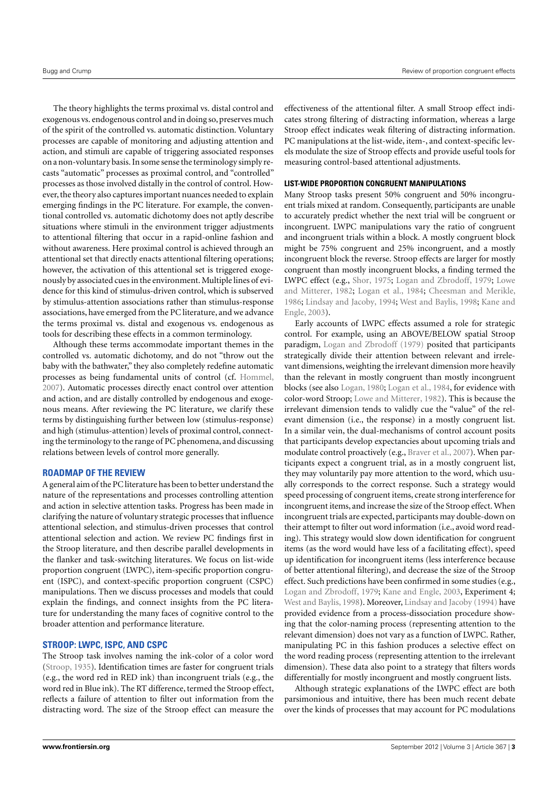The theory highlights the terms proximal vs. distal control and exogenous vs. endogenous control and in doing so, preserves much of the spirit of the controlled vs. automatic distinction. Voluntary processes are capable of monitoring and adjusting attention and action, and stimuli are capable of triggering associated responses on a non-voluntary basis. In some sense the terminology simply recasts "automatic" processes as proximal control, and "controlled" processes as those involved distally in the control of control. However, the theory also captures important nuances needed to explain emerging findings in the PC literature. For example, the conventional controlled vs. automatic dichotomy does not aptly describe situations where stimuli in the environment trigger adjustments to attentional filtering that occur in a rapid-online fashion and without awareness. Here proximal control is achieved through an attentional set that directly enacts attentional filtering operations; however, the activation of this attentional set is triggered exogenously by associated cues in the environment. Multiple lines of evidence for this kind of stimulus-driven control, which is subserved by stimulus-attention associations rather than stimulus-response associations, have emerged from the PC literature, and we advance the terms proximal vs. distal and exogenous vs. endogenous as tools for describing these effects in a common terminology.

Although these terms accommodate important themes in the controlled vs. automatic dichotomy, and do not "throw out the baby with the bathwater," they also completely redefine automatic processes as being fundamental units of control (cf. [Hommel,](#page-14-6) [2007\)](#page-14-6). Automatic processes directly enact control over attention and action, and are distally controlled by endogenous and exogenous means. After reviewing the PC literature, we clarify these terms by distinguishing further between low (stimulus-response) and high (stimulus-attention) levels of proximal control, connecting the terminology to the range of PC phenomena, and discussing relations between levels of control more generally.

#### **ROADMAP OF THE REVIEW**

A general aim of the PC literature has been to better understand the nature of the representations and processes controlling attention and action in selective attention tasks. Progress has been made in clarifying the nature of voluntary strategic processes that influence attentional selection, and stimulus-driven processes that control attentional selection and action. We review PC findings first in the Stroop literature, and then describe parallel developments in the flanker and task-switching literatures. We focus on list-wide proportion congruent (LWPC), item-specific proportion congruent (ISPC), and context-specific proportion congruent (CSPC) manipulations. Then we discuss processes and models that could explain the findings, and connect insights from the PC literature for understanding the many faces of cognitive control to the broader attention and performance literature.

#### **STROOP: LWPC, ISPC, AND CSPC**

The Stroop task involves naming the ink-color of a color word [\(Stroop,](#page-15-4) [1935\)](#page-15-4). Identification times are faster for congruent trials (e.g., the word red in RED ink) than incongruent trials (e.g., the word red in Blue ink). The RT difference, termed the Stroop effect, reflects a failure of attention to filter out information from the distracting word. The size of the Stroop effect can measure the

effectiveness of the attentional filter. A small Stroop effect indicates strong filtering of distracting information, whereas a large Stroop effect indicates weak filtering of distracting information. PC manipulations at the list-wide, item-, and context-specific levels modulate the size of Stroop effects and provide useful tools for measuring control-based attentional adjustments.

#### **LIST-WIDE PROPORTION CONGRUENT MANIPULATIONS**

Many Stroop tasks present 50% congruent and 50% incongruent trials mixed at random. Consequently, participants are unable to accurately predict whether the next trial will be congruent or incongruent. LWPC manipulations vary the ratio of congruent and incongruent trials within a block. A mostly congruent block might be 75% congruent and 25% incongruent, and a mostly incongruent block the reverse. Stroop effects are larger for mostly congruent than mostly incongruent blocks, a finding termed the LWPC effect (e.g., [Shor,](#page-15-5) [1975;](#page-15-5) [Logan and Zbrodoff,](#page-14-0) [1979;](#page-14-0) [Lowe](#page-14-7) [and Mitterer,](#page-14-7) [1982;](#page-14-7) [Logan et al.,](#page-14-8) [1984;](#page-14-8) [Cheesman and Merikle,](#page-14-9) [1986;](#page-14-9) [Lindsay and Jacoby,](#page-14-10) [1994;](#page-14-10) [West and Baylis,](#page-15-6) [1998;](#page-15-6) [Kane and](#page-14-11) [Engle,](#page-14-11) [2003\)](#page-14-11).

Early accounts of LWPC effects assumed a role for strategic control. For example, using an ABOVE/BELOW spatial Stroop paradigm, [Logan and Zbrodoff](#page-14-0) [\(1979\)](#page-14-0) posited that participants strategically divide their attention between relevant and irrelevant dimensions, weighting the irrelevant dimension more heavily than the relevant in mostly congruent than mostly incongruent blocks (see also [Logan,](#page-14-12) [1980;](#page-14-12) [Logan et al.,](#page-14-8) [1984,](#page-14-8) for evidence with color-word Stroop; [Lowe and Mitterer,](#page-14-7) [1982\)](#page-14-7). This is because the irrelevant dimension tends to validly cue the "value" of the relevant dimension (i.e., the response) in a mostly congruent list. In a similar vein, the dual-mechanisms of control account posits that participants develop expectancies about upcoming trials and modulate control proactively (e.g., [Braver et al.,](#page-14-13) [2007\)](#page-14-13). When participants expect a congruent trial, as in a mostly congruent list, they may voluntarily pay more attention to the word, which usually corresponds to the correct response. Such a strategy would speed processing of congruent items, create strong interference for incongruent items, and increase the size of the Stroop effect.When incongruent trials are expected, participants may double-down on their attempt to filter out word information (i.e., avoid word reading). This strategy would slow down identification for congruent items (as the word would have less of a facilitating effect), speed up identification for incongruent items (less interference because of better attentional filtering), and decrease the size of the Stroop effect. Such predictions have been confirmed in some studies (e.g., [Logan and Zbrodoff,](#page-14-0) [1979;](#page-14-0) [Kane and Engle,](#page-14-11) [2003,](#page-14-11) Experiment 4; [West and Baylis,](#page-15-6) [1998\)](#page-15-6). Moreover, [Lindsay and Jacoby](#page-14-10) [\(1994\)](#page-14-10) have provided evidence from a process-dissociation procedure showing that the color-naming process (representing attention to the relevant dimension) does not vary as a function of LWPC. Rather, manipulating PC in this fashion produces a selective effect on the word reading process (representing attention to the irrelevant dimension). These data also point to a strategy that filters words differentially for mostly incongruent and mostly congruent lists.

Although strategic explanations of the LWPC effect are both parsimonious and intuitive, there has been much recent debate over the kinds of processes that may account for PC modulations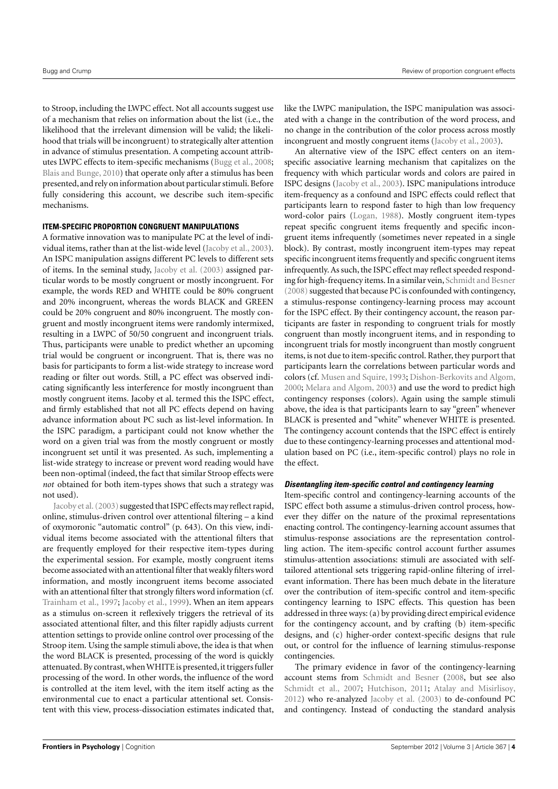to Stroop, including the LWPC effect. Not all accounts suggest use of a mechanism that relies on information about the list (i.e., the likelihood that the irrelevant dimension will be valid; the likelihood that trials will be incongruent) to strategically alter attention in advance of stimulus presentation. A competing account attributes LWPC effects to item-specific mechanisms [\(Bugg et al.,](#page-14-2) [2008;](#page-14-2) [Blais and Bunge,](#page-14-14) [2010\)](#page-14-14) that operate only after a stimulus has been presented, and rely on information about particular stimuli. Before fully considering this account, we describe such item-specific mechanisms.

#### **ITEM-SPECIFIC PROPORTION CONGRUENT MANIPULATIONS**

A formative innovation was to manipulate PC at the level of individual items, rather than at the list-wide level [\(Jacoby et al.,](#page-14-1) [2003\)](#page-14-1). An ISPC manipulation assigns different PC levels to different sets of items. In the seminal study, [Jacoby et al.](#page-14-1) [\(2003\)](#page-14-1) assigned particular words to be mostly congruent or mostly incongruent. For example, the words RED and WHITE could be 80% congruent and 20% incongruent, whereas the words BLACK and GREEN could be 20% congruent and 80% incongruent. The mostly congruent and mostly incongruent items were randomly intermixed, resulting in a LWPC of 50/50 congruent and incongruent trials. Thus, participants were unable to predict whether an upcoming trial would be congruent or incongruent. That is, there was no basis for participants to form a list-wide strategy to increase word reading or filter out words. Still, a PC effect was observed indicating significantly less interference for mostly incongruent than mostly congruent items. Jacoby et al. termed this the ISPC effect, and firmly established that not all PC effects depend on having advance information about PC such as list-level information. In the ISPC paradigm, a participant could not know whether the word on a given trial was from the mostly congruent or mostly incongruent set until it was presented. As such, implementing a list-wide strategy to increase or prevent word reading would have been non-optimal (indeed, the fact that similar Stroop effects were *not* obtained for both item-types shows that such a strategy was not used).

Jacoby et al. (2003) suggested that ISPC effects may reflect rapid, online, stimulus-driven control over attentional filtering – a kind of oxymoronic "automatic control" (p. 643). On this view, individual items become associated with the attentional filters that are frequently employed for their respective item-types during the experimental session. For example, mostly congruent items become associated with an attentional filter that weakly filters word information, and mostly incongruent items become associated with an attentional filter that strongly filters word information (cf. [Trainham et al.,](#page-15-7) [1997;](#page-15-7) [Jacoby et al.,](#page-14-15) [1999\)](#page-14-15). When an item appears as a stimulus on-screen it reflexively triggers the retrieval of its associated attentional filter, and this filter rapidly adjusts current attention settings to provide online control over processing of the Stroop item. Using the sample stimuli above, the idea is that when the word BLACK is presented, processing of the word is quickly attenuated. By contrast, when WHITE is presented, it triggers fuller processing of the word. In other words, the influence of the word is controlled at the item level, with the item itself acting as the environmental cue to enact a particular attentional set. Consistent with this view, process-dissociation estimates indicated that, like the LWPC manipulation, the ISPC manipulation was associated with a change in the contribution of the word process, and no change in the contribution of the color process across mostly incongruent and mostly congruent items [\(Jacoby et al.,](#page-14-1) [2003\)](#page-14-1).

An alternative view of the ISPC effect centers on an itemspecific associative learning mechanism that capitalizes on the frequency with which particular words and colors are paired in ISPC designs [\(Jacoby et al.,](#page-14-1) [2003\)](#page-14-1). ISPC manipulations introduce item-frequency as a confound and ISPC effects could reflect that participants learn to respond faster to high than low frequency word-color pairs [\(Logan,](#page-14-16) [1988\)](#page-14-16). Mostly congruent item-types repeat specific congruent items frequently and specific incongruent items infrequently (sometimes never repeated in a single block). By contrast, mostly incongruent item-types may repeat specific incongruent items frequently and specific congruent items infrequently. As such, the ISPC effect may reflect speeded responding for high-frequency items. In a similar vein, [Schmidt and Besner](#page-15-8)  $(2008)$  suggested that because PC is confounded with contingency, a stimulus-response contingency-learning process may account for the ISPC effect. By their contingency account, the reason participants are faster in responding to congruent trials for mostly congruent than mostly incongruent items, and in responding to incongruent trials for mostly incongruent than mostly congruent items, is not due to item-specific control. Rather, they purport that participants learn the correlations between particular words and colors (cf. [Musen and Squire,](#page-15-9) [1993;](#page-15-9) [Dishon-Berkovits and Algom,](#page-14-17) [2000;](#page-14-17) [Melara and Algom,](#page-15-10) [2003\)](#page-15-10) and use the word to predict high contingency responses (colors). Again using the sample stimuli above, the idea is that participants learn to say "green" whenever BLACK is presented and "white" whenever WHITE is presented. The contingency account contends that the ISPC effect is entirely due to these contingency-learning processes and attentional modulation based on PC (i.e., item-specific control) plays no role in the effect.

#### **Disentangling item-specific control and contingency learning**

Item-specific control and contingency-learning accounts of the ISPC effect both assume a stimulus-driven control process, however they differ on the nature of the proximal representations enacting control. The contingency-learning account assumes that stimulus-response associations are the representation controlling action. The item-specific control account further assumes stimulus-attention associations: stimuli are associated with selftailored attentional sets triggering rapid-online filtering of irrelevant information. There has been much debate in the literature over the contribution of item-specific control and item-specific contingency learning to ISPC effects. This question has been addressed in three ways: (a) by providing direct empirical evidence for the contingency account, and by crafting (b) item-specific designs, and (c) higher-order context-specific designs that rule out, or control for the influence of learning stimulus-response contingencies.

The primary evidence in favor of the contingency-learning account stems from [Schmidt and Besner](#page-15-8) [\(2008,](#page-15-8) but see also [Schmidt et al.,](#page-15-11) [2007;](#page-15-11) [Hutchison,](#page-14-18) [2011;](#page-14-18) [Atalay and Misirlisoy,](#page-14-19) [2012\)](#page-14-19) who re-analyzed [Jacoby et al.](#page-14-1) [\(2003\)](#page-14-1) to de-confound PC and contingency. Instead of conducting the standard analysis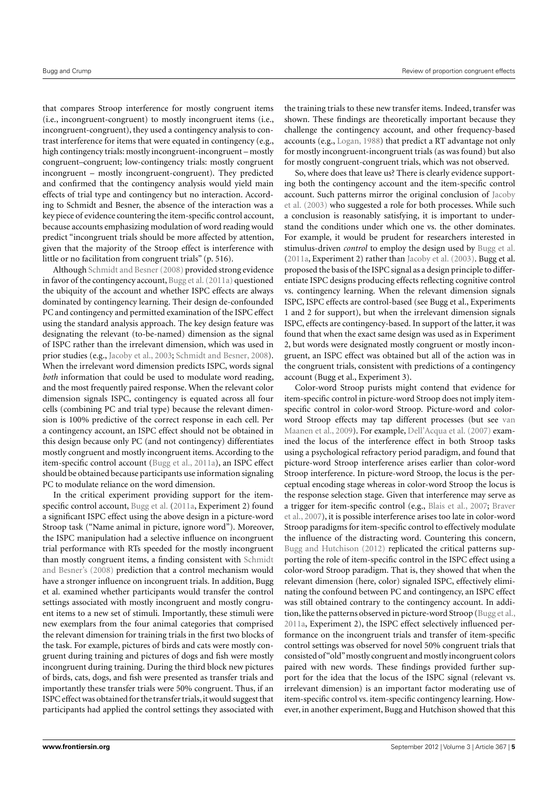that compares Stroop interference for mostly congruent items (i.e., incongruent-congruent) to mostly incongruent items (i.e., incongruent-congruent), they used a contingency analysis to contrast interference for items that were equated in contingency (e.g., high contingency trials: mostly incongruent-incongruent – mostly congruent–congruent; low-contingency trials: mostly congruent incongruent – mostly incongruent-congruent). They predicted and confirmed that the contingency analysis would yield main effects of trial type and contingency but no interaction. According to Schmidt and Besner, the absence of the interaction was a key piece of evidence countering the item-specific control account, because accounts emphasizing modulation of word reading would predict "incongruent trials should be more affected by attention, given that the majority of the Stroop effect is interference with little or no facilitation from congruent trials" (p. 516).

Although [Schmidt and Besner\(2008\)](#page-15-8) provided strong evidence in favor of the contingency account, Bugg et al. (2011a) questioned the ubiquity of the account and whether ISPC effects are always dominated by contingency learning. Their design de-confounded PC and contingency and permitted examination of the ISPC effect using the standard analysis approach. The key design feature was designating the relevant (to-be-named) dimension as the signal of ISPC rather than the irrelevant dimension, which was used in prior studies (e.g., [Jacoby et al.,](#page-14-1) [2003;](#page-14-1) [Schmidt and Besner,](#page-15-8) [2008\)](#page-15-8). When the irrelevant word dimension predicts ISPC, words signal *both* information that could be used to modulate word reading, and the most frequently paired response. When the relevant color dimension signals ISPC, contingency is equated across all four cells (combining PC and trial type) because the relevant dimension is 100% predictive of the correct response in each cell. Per a contingency account, an ISPC effect should not be obtained in this design because only PC (and not contingency) differentiates mostly congruent and mostly incongruent items. According to the item-specific control account [\(Bugg et al.,](#page-14-20) [2011a\)](#page-14-20), an ISPC effect should be obtained because participants use information signaling PC to modulate reliance on the word dimension.

In the critical experiment providing support for the itemspecific control account, [Bugg et al.](#page-14-20) [\(2011a,](#page-14-20) Experiment 2) found a significant ISPC effect using the above design in a picture-word Stroop task ("Name animal in picture, ignore word"). Moreover, the ISPC manipulation had a selective influence on incongruent trial performance with RTs speeded for the mostly incongruent than mostly congruent items, a finding consistent with [Schmidt](#page-15-12) [and Besner's](#page-15-12) [\(2008\)](#page-15-12) prediction that a control mechanism would have a stronger influence on incongruent trials. In addition, Bugg et al. examined whether participants would transfer the control settings associated with mostly incongruent and mostly congruent items to a new set of stimuli. Importantly, these stimuli were new exemplars from the four animal categories that comprised the relevant dimension for training trials in the first two blocks of the task. For example, pictures of birds and cats were mostly congruent during training and pictures of dogs and fish were mostly incongruent during training. During the third block new pictures of birds, cats, dogs, and fish were presented as transfer trials and importantly these transfer trials were 50% congruent. Thus, if an ISPC effect was obtained for the transfer trials, it would suggest that participants had applied the control settings they associated with

the training trials to these new transfer items. Indeed, transfer was shown. These findings are theoretically important because they challenge the contingency account, and other frequency-based accounts (e.g., [Logan,](#page-14-16) [1988\)](#page-14-16) that predict a RT advantage not only for mostly incongruent-incongruent trials (as was found) but also for mostly congruent-congruent trials, which was not observed.

So, where does that leave us? There is clearly evidence supporting both the contingency account and the item-specific control account. Such patterns mirror the original conclusion of [Jacoby](#page-14-1) [et al.](#page-14-1) [\(2003\)](#page-14-1) who suggested a role for both processes. While such a conclusion is reasonably satisfying, it is important to understand the conditions under which one vs. the other dominates. For example, it would be prudent for researchers interested in stimulus-driven *control* to employ the design used by [Bugg et al.](#page-14-20) [\(2011a,](#page-14-20) Experiment 2) rather than [Jacoby et al.](#page-14-1) [\(2003\)](#page-14-1). Bugg et al. proposed the basis of the ISPC signal as a design principle to differentiate ISPC designs producing effects reflecting cognitive control vs. contingency learning. When the relevant dimension signals ISPC, ISPC effects are control-based (see Bugg et al., Experiments 1 and 2 for support), but when the irrelevant dimension signals ISPC, effects are contingency-based. In support of the latter, it was found that when the exact same design was used as in Experiment 2, but words were designated mostly congruent or mostly incongruent, an ISPC effect was obtained but all of the action was in the congruent trials, consistent with predictions of a contingency account (Bugg et al., Experiment 3).

Color-word Stroop purists might contend that evidence for item-specific control in picture-word Stroop does not imply itemspecific control in color-word Stroop. Picture-word and colorword Stroop effects may tap different processes (but see [van](#page-15-13) [Maanen et al.,](#page-15-13) [2009\)](#page-15-13). For example, [Dell'Acqua et al.](#page-14-21) [\(2007\)](#page-14-21) examined the locus of the interference effect in both Stroop tasks using a psychological refractory period paradigm, and found that picture-word Stroop interference arises earlier than color-word Stroop interference. In picture-word Stroop, the locus is the perceptual encoding stage whereas in color-word Stroop the locus is the response selection stage. Given that interference may serve as a trigger for item-specific control (e.g., [Blais et al.,](#page-14-22) [2007;](#page-14-22) [Braver](#page-14-13) [et al.,](#page-14-13) [2007\)](#page-14-13), it is possible interference arises too late in color-word Stroop paradigms for item-specific control to effectively modulate the influence of the distracting word. Countering this concern, [Bugg and Hutchison](#page-14-23) [\(2012\)](#page-14-23) replicated the critical patterns supporting the role of item-specific control in the ISPC effect using a color-word Stroop paradigm. That is, they showed that when the relevant dimension (here, color) signaled ISPC, effectively eliminating the confound between PC and contingency, an ISPC effect was still obtained contrary to the contingency account. In addition, like the patterns observed in picture-word Stroop [\(Bugg et al.,](#page-14-20) [2011a,](#page-14-20) Experiment 2), the ISPC effect selectively influenced performance on the incongruent trials and transfer of item-specific control settings was observed for novel 50% congruent trials that consisted of "old"mostly congruent and mostly incongruent colors paired with new words. These findings provided further support for the idea that the locus of the ISPC signal (relevant vs. irrelevant dimension) is an important factor moderating use of item-specific control vs. item-specific contingency learning. However, in another experiment, Bugg and Hutchison showed that this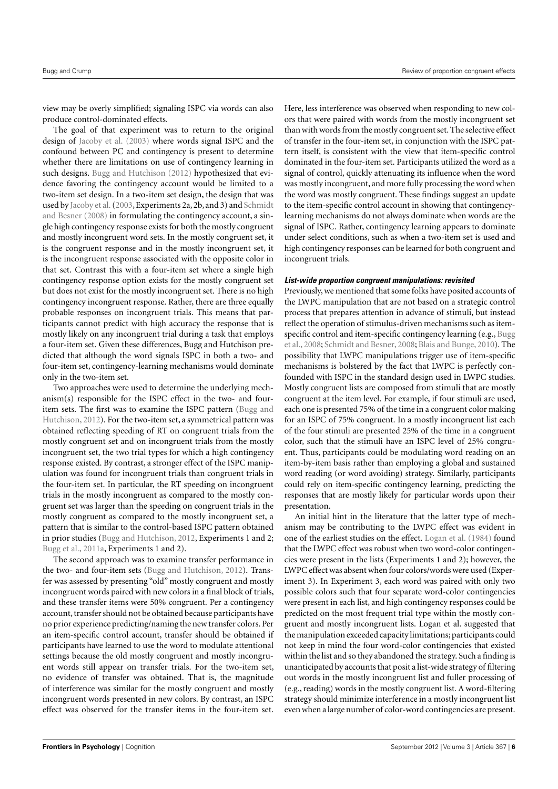view may be overly simplified; signaling ISPC via words can also produce control-dominated effects.

The goal of that experiment was to return to the original design of [Jacoby et al.](#page-14-1) [\(2003\)](#page-14-1) where words signal ISPC and the confound between PC and contingency is present to determine whether there are limitations on use of contingency learning in such designs. [Bugg and Hutchison](#page-14-23) [\(2012\)](#page-14-23) hypothesized that evidence favoring the contingency account would be limited to a two-item set design. In a two-item set design, the design that was used by [Jacoby et al.\(2003,](#page-14-1) Experiments 2a, 2b, and 3) and [Schmidt](#page-15-8) [and Besner](#page-15-8) [\(2008\)](#page-15-8) in formulating the contingency account, a single high contingency response exists for both the mostly congruent and mostly incongruent word sets. In the mostly congruent set, it is the congruent response and in the mostly incongruent set, it is the incongruent response associated with the opposite color in that set. Contrast this with a four-item set where a single high contingency response option exists for the mostly congruent set but does not exist for the mostly incongruent set. There is no high contingency incongruent response. Rather, there are three equally probable responses on incongruent trials. This means that participants cannot predict with high accuracy the response that is mostly likely on any incongruent trial during a task that employs a four-item set. Given these differences, Bugg and Hutchison predicted that although the word signals ISPC in both a two- and four-item set, contingency-learning mechanisms would dominate only in the two-item set.

Two approaches were used to determine the underlying mechanism(s) responsible for the ISPC effect in the two- and fouritem sets. The first was to examine the ISPC pattern [\(Bugg and](#page-14-23) [Hutchison,](#page-14-23) [2012\)](#page-14-23). For the two-item set, a symmetrical pattern was obtained reflecting speeding of RT on congruent trials from the mostly congruent set and on incongruent trials from the mostly incongruent set, the two trial types for which a high contingency response existed. By contrast, a stronger effect of the ISPC manipulation was found for incongruent trials than congruent trials in the four-item set. In particular, the RT speeding on incongruent trials in the mostly incongruent as compared to the mostly congruent set was larger than the speeding on congruent trials in the mostly congruent as compared to the mostly incongruent set, a pattern that is similar to the control-based ISPC pattern obtained in prior studies [\(Bugg and Hutchison,](#page-14-23) [2012,](#page-14-23) Experiments 1 and 2; [Bugg et al.,](#page-14-20) [2011a,](#page-14-20) Experiments 1 and 2).

The second approach was to examine transfer performance in the two- and four-item sets [\(Bugg and Hutchison,](#page-14-23) [2012\)](#page-14-23). Transfer was assessed by presenting "old" mostly congruent and mostly incongruent words paired with new colors in a final block of trials, and these transfer items were 50% congruent. Per a contingency account, transfer should not be obtained because participants have no prior experience predicting/naming the new transfer colors. Per an item-specific control account, transfer should be obtained if participants have learned to use the word to modulate attentional settings because the old mostly congruent and mostly incongruent words still appear on transfer trials. For the two-item set, no evidence of transfer was obtained. That is, the magnitude of interference was similar for the mostly congruent and mostly incongruent words presented in new colors. By contrast, an ISPC effect was observed for the transfer items in the four-item set.

Here, less interference was observed when responding to new colors that were paired with words from the mostly incongruent set than with words from the mostly congruent set. The selective effect of transfer in the four-item set, in conjunction with the ISPC pattern itself, is consistent with the view that item-specific control dominated in the four-item set. Participants utilized the word as a signal of control, quickly attenuating its influence when the word was mostly incongruent, and more fully processing the word when the word was mostly congruent. These findings suggest an update to the item-specific control account in showing that contingencylearning mechanisms do not always dominate when words are the signal of ISPC. Rather, contingency learning appears to dominate under select conditions, such as when a two-item set is used and high contingency responses can be learned for both congruent and incongruent trials.

#### **List-wide proportion congruent manipulations: revisited**

Previously, we mentioned that some folks have posited accounts of the LWPC manipulation that are not based on a strategic control process that prepares attention in advance of stimuli, but instead reflect the operation of stimulus-driven mechanisms such as itemspecific control and item-specific contingency learning (e.g., [Bugg](#page-14-2) [et al.,](#page-14-2) [2008;](#page-14-2) [Schmidt and Besner,](#page-15-8) [2008;](#page-15-8) [Blais and Bunge,](#page-14-14) [2010\)](#page-14-14). The possibility that LWPC manipulations trigger use of item-specific mechanisms is bolstered by the fact that LWPC is perfectly confounded with ISPC in the standard design used in LWPC studies. Mostly congruent lists are composed from stimuli that are mostly congruent at the item level. For example, if four stimuli are used, each one is presented 75% of the time in a congruent color making for an ISPC of 75% congruent. In a mostly incongruent list each of the four stimuli are presented 25% of the time in a congruent color, such that the stimuli have an ISPC level of 25% congruent. Thus, participants could be modulating word reading on an item-by-item basis rather than employing a global and sustained word reading (or word avoiding) strategy. Similarly, participants could rely on item-specific contingency learning, predicting the responses that are mostly likely for particular words upon their presentation.

An initial hint in the literature that the latter type of mechanism may be contributing to the LWPC effect was evident in one of the earliest studies on the effect. [Logan et al.](#page-14-8) [\(1984\)](#page-14-8) found that the LWPC effect was robust when two word-color contingencies were present in the lists (Experiments 1 and 2); however, the LWPC effect was absent when four colors/words were used (Experiment 3). In Experiment 3, each word was paired with only two possible colors such that four separate word-color contingencies were present in each list, and high contingency responses could be predicted on the most frequent trial type within the mostly congruent and mostly incongruent lists. Logan et al. suggested that the manipulation exceeded capacity limitations; participants could not keep in mind the four word-color contingencies that existed within the list and so they abandoned the strategy. Such a finding is unanticipated by accounts that posit a list-wide strategy of filtering out words in the mostly incongruent list and fuller processing of (e.g., reading) words in the mostly congruent list. A word-filtering strategy should minimize interference in a mostly incongruent list even when a large number of color-word contingencies are present.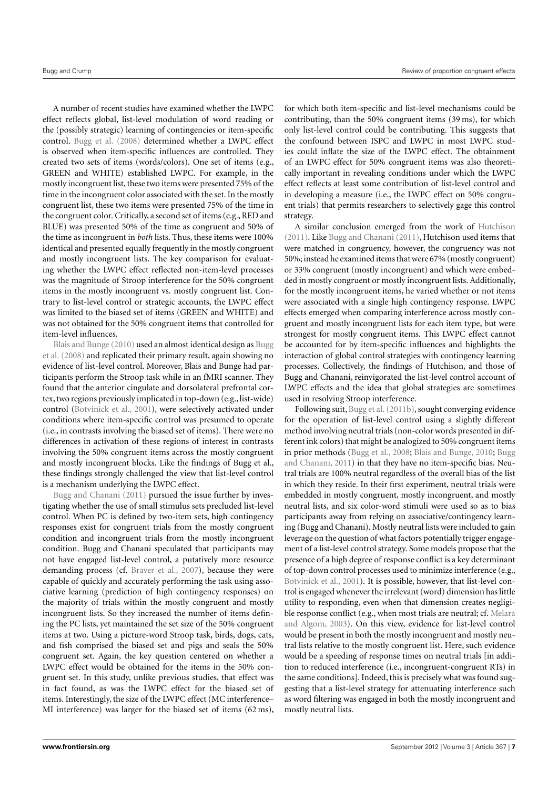A number of recent studies have examined whether the LWPC effect reflects global, list-level modulation of word reading or the (possibly strategic) learning of contingencies or item-specific control. [Bugg et al.](#page-14-2) [\(2008\)](#page-14-2) determined whether a LWPC effect is observed when item-specific influences are controlled. They created two sets of items (words/colors). One set of items (e.g., GREEN and WHITE) established LWPC. For example, in the mostly incongruent list, these two items were presented 75% of the time in the incongruent color associated with the set. In the mostly congruent list, these two items were presented 75% of the time in the congruent color. Critically, a second set of items (e.g., RED and BLUE) was presented 50% of the time as congruent and 50% of the time as incongruent in *both* lists. Thus, these items were 100% identical and presented equally frequently in the mostly congruent and mostly incongruent lists. The key comparison for evaluating whether the LWPC effect reflected non-item-level processes was the magnitude of Stroop interference for the 50% congruent items in the mostly incongruent vs. mostly congruent list. Contrary to list-level control or strategic accounts, the LWPC effect was limited to the biased set of items (GREEN and WHITE) and was not obtained for the 50% congruent items that controlled for item-level influences.

[Blais and Bunge](#page-14-14) [\(2010\)](#page-14-14) used an almost identical design as [Bugg](#page-14-2) [et al.](#page-14-2) [\(2008\)](#page-14-2) and replicated their primary result, again showing no evidence of list-level control. Moreover, Blais and Bunge had participants perform the Stroop task while in an fMRI scanner. They found that the anterior cingulate and dorsolateral prefrontal cortex, two regions previously implicated in top-down (e.g., list-wide) control [\(Botvinick et al.,](#page-14-24) [2001\)](#page-14-24), were selectively activated under conditions where item-specific control was presumed to operate (i.e., in contrasts involving the biased set of items). There were no differences in activation of these regions of interest in contrasts involving the 50% congruent items across the mostly congruent and mostly incongruent blocks. Like the findings of Bugg et al., these findings strongly challenged the view that list-level control is a mechanism underlying the LWPC effect.

[Bugg and Chanani](#page-14-25) [\(2011\)](#page-14-25) pursued the issue further by investigating whether the use of small stimulus sets precluded list-level control. When PC is defined by two-item sets, high contingency responses exist for congruent trials from the mostly congruent condition and incongruent trials from the mostly incongruent condition. Bugg and Chanani speculated that participants may not have engaged list-level control, a putatively more resource demanding process (cf. [Braver et al.,](#page-14-13) [2007\)](#page-14-13), because they were capable of quickly and accurately performing the task using associative learning (prediction of high contingency responses) on the majority of trials within the mostly congruent and mostly incongruent lists. So they increased the number of items defining the PC lists, yet maintained the set size of the 50% congruent items at two. Using a picture-word Stroop task, birds, dogs, cats, and fish comprised the biased set and pigs and seals the 50% congruent set. Again, the key question centered on whether a LWPC effect would be obtained for the items in the 50% congruent set. In this study, unlike previous studies, that effect was in fact found, as was the LWPC effect for the biased set of items. Interestingly, the size of the LWPC effect (MC interference– MI interference) was larger for the biased set of items (62 ms),

for which both item-specific and list-level mechanisms could be contributing, than the 50% congruent items (39 ms), for which only list-level control could be contributing. This suggests that the confound between ISPC and LWPC in most LWPC studies could inflate the size of the LWPC effect. The obtainment of an LWPC effect for 50% congruent items was also theoretically important in revealing conditions under which the LWPC effect reflects at least some contribution of list-level control and in developing a measure (i.e., the LWPC effect on 50% congruent trials) that permits researchers to selectively gage this control strategy.

A similar conclusion emerged from the work of [Hutchison](#page-14-18) [\(2011\)](#page-14-18). Like [Bugg and Chanani](#page-14-25) [\(2011\)](#page-14-25), Hutchison used items that were matched in congruency, however, the congruency was not 50%; instead he examined items that were 67% (mostly congruent) or 33% congruent (mostly incongruent) and which were embedded in mostly congruent or mostly incongruent lists. Additionally, for the mostly incongruent items, he varied whether or not items were associated with a single high contingency response. LWPC effects emerged when comparing interference across mostly congruent and mostly incongruent lists for each item type, but were strongest for mostly congruent items. This LWPC effect cannot be accounted for by item-specific influences and highlights the interaction of global control strategies with contingency learning processes. Collectively, the findings of Hutchison, and those of Bugg and Chanani, reinvigorated the list-level control account of LWPC effects and the idea that global strategies are sometimes used in resolving Stroop interference.

Following suit, [Bugg et al.](#page-14-26) [\(2011b\)](#page-14-26), sought converging evidence for the operation of list-level control using a slightly different method involving neutral trials (non-color words presented in different ink colors) that might be analogized to 50% congruent items in prior methods [\(Bugg et al.,](#page-14-2) [2008;](#page-14-2) [Blais and Bunge,](#page-14-14) [2010;](#page-14-14) [Bugg](#page-14-25) [and Chanani,](#page-14-25) [2011\)](#page-14-25) in that they have no item-specific bias. Neutral trials are 100% neutral regardless of the overall bias of the list in which they reside. In their first experiment, neutral trials were embedded in mostly congruent, mostly incongruent, and mostly neutral lists, and six color-word stimuli were used so as to bias participants away from relying on associative/contingency learning (Bugg and Chanani). Mostly neutral lists were included to gain leverage on the question of what factors potentially trigger engagement of a list-level control strategy. Some models propose that the presence of a high degree of response conflict is a key determinant of top-down control processes used to minimize interference (e.g., [Botvinick et al.,](#page-14-24) [2001\)](#page-14-24). It is possible, however, that list-level control is engaged whenever the irrelevant (word) dimension has little utility to responding, even when that dimension creates negligible response conflict (e.g., when most trials are neutral; cf. [Melara](#page-15-10) [and Algom,](#page-15-10) [2003\)](#page-15-10). On this view, evidence for list-level control would be present in both the mostly incongruent and mostly neutral lists relative to the mostly congruent list. Here, such evidence would be a speeding of response times on neutral trials [in addition to reduced interference (i.e., incongruent-congruent RTs) in the same conditions]. Indeed, this is precisely what was found suggesting that a list-level strategy for attenuating interference such as word filtering was engaged in both the mostly incongruent and mostly neutral lists.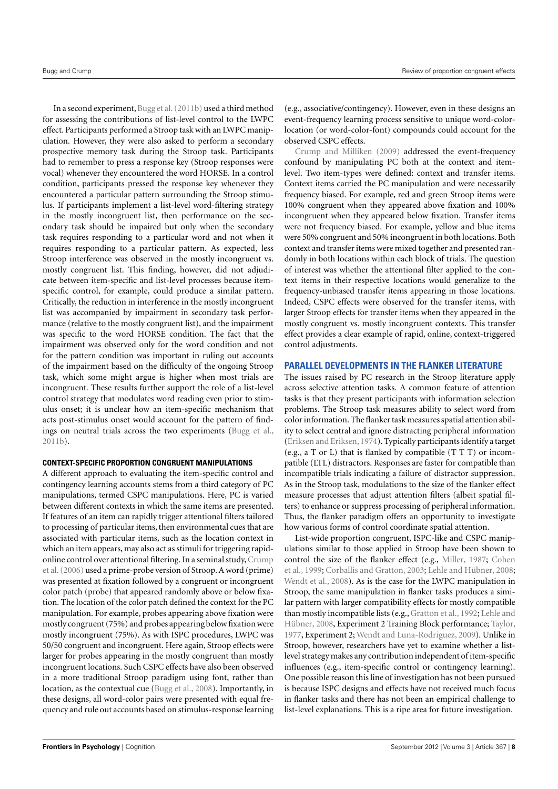In a second experiment, Bugg et al. (2011b) used a third method for assessing the contributions of list-level control to the LWPC effect. Participants performed a Stroop task with an LWPC manipulation. However, they were also asked to perform a secondary prospective memory task during the Stroop task. Participants had to remember to press a response key (Stroop responses were vocal) whenever they encountered the word HORSE. In a control condition, participants pressed the response key whenever they encountered a particular pattern surrounding the Stroop stimulus. If participants implement a list-level word-filtering strategy in the mostly incongruent list, then performance on the secondary task should be impaired but only when the secondary task requires responding to a particular word and not when it requires responding to a particular pattern. As expected, less Stroop interference was observed in the mostly incongruent vs. mostly congruent list. This finding, however, did not adjudicate between item-specific and list-level processes because itemspecific control, for example, could produce a similar pattern. Critically, the reduction in interference in the mostly incongruent list was accompanied by impairment in secondary task performance (relative to the mostly congruent list), and the impairment was specific to the word HORSE condition. The fact that the impairment was observed only for the word condition and not for the pattern condition was important in ruling out accounts of the impairment based on the difficulty of the ongoing Stroop task, which some might argue is higher when most trials are incongruent. These results further support the role of a list-level control strategy that modulates word reading even prior to stimulus onset; it is unclear how an item-specific mechanism that acts post-stimulus onset would account for the pattern of findings on neutral trials across the two experiments [\(Bugg et al.,](#page-14-26) [2011b\)](#page-14-26).

#### **CONTEXT-SPECIFIC PROPORTION CONGRUENT MANIPULATIONS**

A different approach to evaluating the item-specific control and contingency learning accounts stems from a third category of PC manipulations, termed CSPC manipulations. Here, PC is varied between different contexts in which the same items are presented. If features of an item can rapidly trigger attentional filters tailored to processing of particular items, then environmental cues that are associated with particular items, such as the location context in which an item appears, may also act as stimuli for triggering rapidonline control over attentional filtering. In a seminal study, Crump [et al.\(2006\)](#page-14-27) used a prime-probe version of Stroop. A word (prime) was presented at fixation followed by a congruent or incongruent color patch (probe) that appeared randomly above or below fixation. The location of the color patch defined the context for the PC manipulation. For example, probes appearing above fixation were mostly congruent (75%) and probes appearing below fixation were mostly incongruent (75%). As with ISPC procedures, LWPC was 50/50 congruent and incongruent. Here again, Stroop effects were larger for probes appearing in the mostly congruent than mostly incongruent locations. Such CSPC effects have also been observed in a more traditional Stroop paradigm using font, rather than location, as the contextual cue [\(Bugg et al.,](#page-14-2) [2008\)](#page-14-2). Importantly, in these designs, all word-color pairs were presented with equal frequency and rule out accounts based on stimulus-response learning

(e.g., associative/contingency). However, even in these designs an event-frequency learning process sensitive to unique word-colorlocation (or word-color-font) compounds could account for the observed CSPC effects.

[Crump and Milliken](#page-14-28) [\(2009\)](#page-14-28) addressed the event-frequency confound by manipulating PC both at the context and itemlevel. Two item-types were defined: context and transfer items. Context items carried the PC manipulation and were necessarily frequency biased. For example, red and green Stroop items were 100% congruent when they appeared above fixation and 100% incongruent when they appeared below fixation. Transfer items were not frequency biased. For example, yellow and blue items were 50% congruent and 50% incongruent in both locations. Both context and transfer items were mixed together and presented randomly in both locations within each block of trials. The question of interest was whether the attentional filter applied to the context items in their respective locations would generalize to the frequency-unbiased transfer items appearing in those locations. Indeed, CSPC effects were observed for the transfer items, with larger Stroop effects for transfer items when they appeared in the mostly congruent vs. mostly incongruent contexts. This transfer effect provides a clear example of rapid, online, context-triggered control adjustments.

#### **PARALLEL DEVELOPMENTS IN THE FLANKER LITERATURE**

The issues raised by PC research in the Stroop literature apply across selective attention tasks. A common feature of attention tasks is that they present participants with information selection problems. The Stroop task measures ability to select word from color information. The flanker task measures spatial attention ability to select central and ignore distracting peripheral information [\(Eriksen and Eriksen,](#page-14-29) [1974\)](#page-14-29). Typically participants identify a target (e.g., a T or L) that is flanked by compatible (T T T) or incompatible (LTL) distractors. Responses are faster for compatible than incompatible trials indicating a failure of distractor suppression. As in the Stroop task, modulations to the size of the flanker effect measure processes that adjust attention filters (albeit spatial filters) to enhance or suppress processing of peripheral information. Thus, the flanker paradigm offers an opportunity to investigate how various forms of control coordinate spatial attention.

List-wide proportion congruent, ISPC-like and CSPC manipulations similar to those applied in Stroop have been shown to control the size of the flanker effect (e.g., [Miller,](#page-15-14) [1987;](#page-15-14) [Cohen](#page-14-30) [et al.,](#page-14-30) [1999;](#page-14-30) [Corballis and Gratton,](#page-14-31) [2003;](#page-14-31) [Lehle and Hübner,](#page-14-32) [2008;](#page-14-32) [Wendt et al.,](#page-15-15) [2008\)](#page-15-15). As is the case for the LWPC manipulation in Stroop, the same manipulation in flanker tasks produces a similar pattern with larger compatibility effects for mostly compatible than mostly incompatible lists (e.g., [Gratton et al.,](#page-14-33) [1992;](#page-14-33) [Lehle and](#page-14-32) [Hübner,](#page-14-32) [2008,](#page-14-32) Experiment 2 Training Block performance; [Taylor,](#page-15-16) [1977,](#page-15-16) Experiment 2; [Wendt and Luna-Rodriguez,](#page-15-17) [2009\)](#page-15-17). Unlike in Stroop, however, researchers have yet to examine whether a listlevel strategy makes any contribution independent of item-specific influences (e.g., item-specific control or contingency learning). One possible reason this line of investigation has not been pursued is because ISPC designs and effects have not received much focus in flanker tasks and there has not been an empirical challenge to list-level explanations. This is a ripe area for future investigation.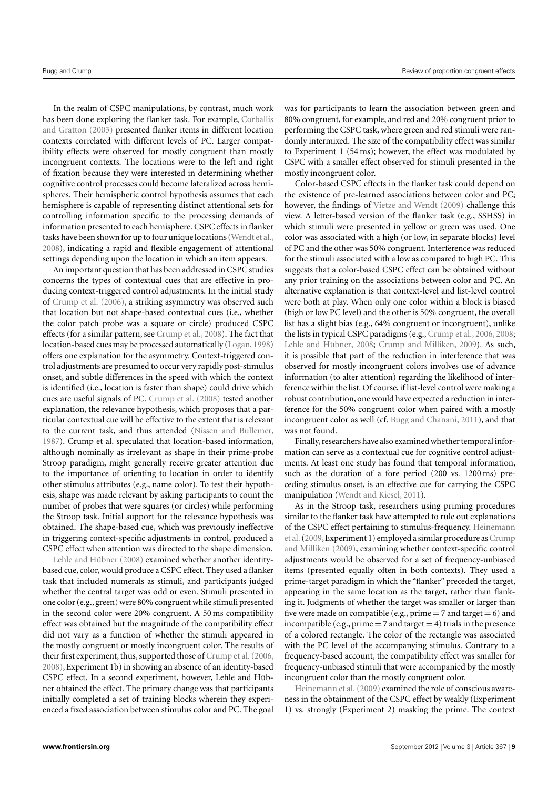In the realm of CSPC manipulations, by contrast, much work has been done exploring the flanker task. For example, [Corballis](#page-14-31) [and Gratton](#page-14-31) [\(2003\)](#page-14-31) presented flanker items in different location contexts correlated with different levels of PC. Larger compatibility effects were observed for mostly congruent than mostly incongruent contexts. The locations were to the left and right of fixation because they were interested in determining whether cognitive control processes could become lateralized across hemispheres. Their hemispheric control hypothesis assumes that each hemisphere is capable of representing distinct attentional sets for controlling information specific to the processing demands of information presented to each hemisphere. CSPC effects in flanker tasks have been shown for up to four unique locations [\(Wendt et al.,](#page-15-15) [2008\)](#page-15-15), indicating a rapid and flexible engagement of attentional settings depending upon the location in which an item appears.

An important question that has been addressed in CSPC studies concerns the types of contextual cues that are effective in producing context-triggered control adjustments. In the initial study of [Crump et al.](#page-14-27) [\(2006\)](#page-14-27), a striking asymmetry was observed such that location but not shape-based contextual cues (i.e., whether the color patch probe was a square or circle) produced CSPC effects (for a similar pattern, see [Crump et al.,](#page-14-34) [2008\)](#page-14-34). The fact that location-based cues may be processed automatically [\(Logan,](#page-14-35) [1998\)](#page-14-35) offers one explanation for the asymmetry. Context-triggered control adjustments are presumed to occur very rapidly post-stimulus onset, and subtle differences in the speed with which the context is identified (i.e., location is faster than shape) could drive which cues are useful signals of PC. [Crump et al.](#page-14-34) [\(2008\)](#page-14-34) tested another explanation, the relevance hypothesis, which proposes that a particular contextual cue will be effective to the extent that is relevant to the current task, and thus attended [\(Nissen and Bullemer,](#page-15-18) [1987\)](#page-15-18). Crump et al. speculated that location-based information, although nominally as irrelevant as shape in their prime-probe Stroop paradigm, might generally receive greater attention due to the importance of orienting to location in order to identify other stimulus attributes (e.g., name color). To test their hypothesis, shape was made relevant by asking participants to count the number of probes that were squares (or circles) while performing the Stroop task. Initial support for the relevance hypothesis was obtained. The shape-based cue, which was previously ineffective in triggering context-specific adjustments in control, produced a CSPC effect when attention was directed to the shape dimension.

[Lehle and Hübner](#page-14-32) [\(2008\)](#page-14-32) examined whether another identitybased cue, color, would produce a CSPC effect. They used a flanker task that included numerals as stimuli, and participants judged whether the central target was odd or even. Stimuli presented in one color (e.g., green) were 80% congruent while stimuli presented in the second color were 20% congruent. A 50 ms compatibility effect was obtained but the magnitude of the compatibility effect did not vary as a function of whether the stimuli appeared in the mostly congruent or mostly incongruent color. The results of their first experiment, thus, supported those of [Crump et al.\(2006,](#page-14-27) [2008\)](#page-14-34), Experiment 1b) in showing an absence of an identity-based CSPC effect. In a second experiment, however, Lehle and Hübner obtained the effect. The primary change was that participants initially completed a set of training blocks wherein they experienced a fixed association between stimulus color and PC. The goal was for participants to learn the association between green and 80% congruent, for example, and red and 20% congruent prior to performing the CSPC task, where green and red stimuli were randomly intermixed. The size of the compatibility effect was similar to Experiment 1 (54 ms); however, the effect was modulated by CSPC with a smaller effect observed for stimuli presented in the mostly incongruent color.

Color-based CSPC effects in the flanker task could depend on the existence of pre-learned associations between color and PC; however, the findings of [Vietze and Wendt](#page-15-19) [\(2009\)](#page-15-19) challenge this view. A letter-based version of the flanker task (e.g., SSHSS) in which stimuli were presented in yellow or green was used. One color was associated with a high (or low, in separate blocks) level of PC and the other was 50% congruent. Interference was reduced for the stimuli associated with a low as compared to high PC. This suggests that a color-based CSPC effect can be obtained without any prior training on the associations between color and PC. An alternative explanation is that context-level and list-level control were both at play. When only one color within a block is biased (high or low PC level) and the other is 50% congruent, the overall list has a slight bias (e.g., 64% congruent or incongruent), unlike the lists in typical CSPC paradigms (e.g., [Crump et al.,](#page-14-27) [2006,](#page-14-27) [2008;](#page-14-34) [Lehle and Hübner,](#page-14-32) [2008;](#page-14-32) [Crump and Milliken,](#page-14-28) [2009\)](#page-14-28). As such, it is possible that part of the reduction in interference that was observed for mostly incongruent colors involves use of advance information (to alter attention) regarding the likelihood of interference within the list. Of course, if list-level control were making a robust contribution, one would have expected a reduction in interference for the 50% congruent color when paired with a mostly incongruent color as well (cf. [Bugg and Chanani,](#page-14-25) [2011\)](#page-14-25), and that was not found.

Finally, researchers have also examined whether temporal information can serve as a contextual cue for cognitive control adjustments. At least one study has found that temporal information, such as the duration of a fore period (200 vs. 1200 ms) preceding stimulus onset, is an effective cue for carrying the CSPC manipulation [\(Wendt and Kiesel,](#page-15-20) [2011\)](#page-15-20).

As in the Stroop task, researchers using priming procedures similar to the flanker task have attempted to rule out explanations of the CSPC effect pertaining to stimulus-frequency. [Heinemann](#page-14-36) et al. (2009, Experiment 1) employed a similar procedure as [Crump](#page-14-28) [and Milliken](#page-14-28) [\(2009\)](#page-14-28), examining whether context-specific control adjustments would be observed for a set of frequency-unbiased items (presented equally often in both contexts). They used a prime-target paradigm in which the "flanker" preceded the target, appearing in the same location as the target, rather than flanking it. Judgments of whether the target was smaller or larger than five were made on compatible (e.g., prime  $= 7$  and target  $= 6$ ) and incompatible (e.g., prime  $= 7$  and target  $= 4$ ) trials in the presence of a colored rectangle. The color of the rectangle was associated with the PC level of the accompanying stimulus. Contrary to a frequency-based account, the compatibility effect was smaller for frequency-unbiased stimuli that were accompanied by the mostly incongruent color than the mostly congruent color.

[Heinemann et al.\(2009\)](#page-14-36) examined the role of conscious awareness in the obtainment of the CSPC effect by weakly (Experiment 1) vs. strongly (Experiment 2) masking the prime. The context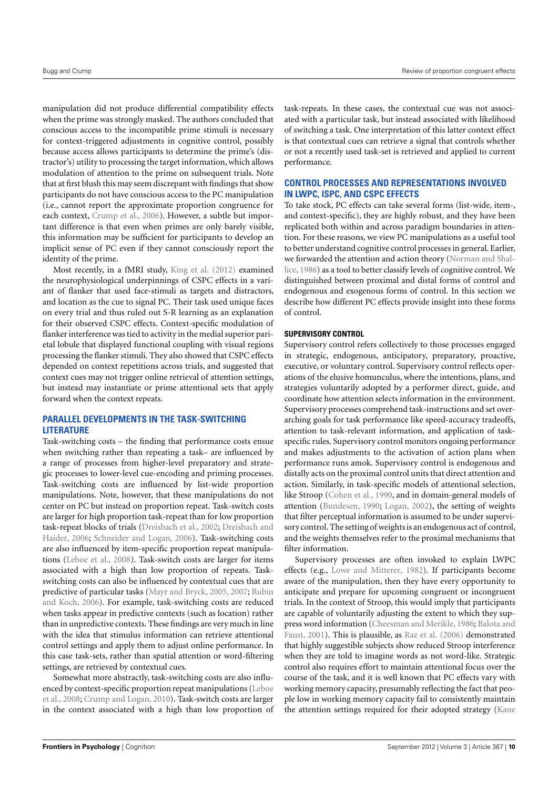manipulation did not produce differential compatibility effects when the prime was strongly masked. The authors concluded that conscious access to the incompatible prime stimuli is necessary for context-triggered adjustments in cognitive control, possibly because access allows participants to determine the prime's (distractor's) utility to processing the target information, which allows modulation of attention to the prime on subsequent trials. Note that at first blush this may seem discrepant with findings that show participants do not have conscious access to the PC manipulation (i.e., cannot report the approximate proportion congruence for each context, [Crump et al.,](#page-14-27) [2006\)](#page-14-27). However, a subtle but important difference is that even when primes are only barely visible, this information may be sufficient for participants to develop an implicit sense of PC even if they cannot consciously report the identity of the prime.

Most recently, in a fMRI study, [King et al.](#page-14-37) [\(2012\)](#page-14-37) examined the neurophysiological underpinnings of CSPC effects in a variant of flanker that used face-stimuli as targets and distractors, and location as the cue to signal PC. Their task used unique faces on every trial and thus ruled out S-R learning as an explanation for their observed CSPC effects. Context-specific modulation of flanker interference was tied to activity in the medial superior parietal lobule that displayed functional coupling with visual regions processing the flanker stimuli. They also showed that CSPC effects depended on context repetitions across trials, and suggested that context cues may not trigger online retrieval of attention settings, but instead may instantiate or prime attentional sets that apply forward when the context repeats.

# **PARALLEL DEVELOPMENTS IN THE TASK-SWITCHING LITERATURE**

Task-switching costs – the finding that performance costs ensue when switching rather than repeating a task– are influenced by a range of processes from higher-level preparatory and strategic processes to lower-level cue-encoding and priming processes. Task-switching costs are influenced by list-wide proportion manipulations. Note, however, that these manipulations do not center on PC but instead on proportion repeat. Task-switch costs are larger for high proportion task-repeat than for low proportion task-repeat blocks of trials [\(Dreisbach et al.,](#page-14-38) [2002;](#page-14-38) [Dreisbach and](#page-14-39) [Haider,](#page-14-39) [2006;](#page-14-39) [Schneider and Logan,](#page-15-21) [2006\)](#page-15-21). Task-switching costs are also influenced by item-specific proportion repeat manipulations [\(Leboe et al.,](#page-14-40) [2008\)](#page-14-40). Task-switch costs are larger for items associated with a high than low proportion of repeats. Taskswitching costs can also be influenced by contextual cues that are predictive of particular tasks [\(Mayr and Bryck,](#page-15-22) [2005,](#page-15-22) [2007;](#page-15-23) [Rubin](#page-15-24) [and Koch,](#page-15-24) [2006\)](#page-15-24). For example, task-switching costs are reduced when tasks appear in predictive contexts (such as location) rather than in unpredictive contexts. These findings are very much in line with the idea that stimulus information can retrieve attentional control settings and apply them to adjust online performance. In this case task-sets, rather than spatial attention or word-filtering settings, are retrieved by contextual cues.

Somewhat more abstractly, task-switching costs are also influenced by context-specific proportion repeat manipulations [\(Leboe](#page-14-40) [et al.,](#page-14-40) [2008;](#page-14-40) [Crump and Logan,](#page-14-41) [2010\)](#page-14-41). Task-switch costs are larger in the context associated with a high than low proportion of task-repeats. In these cases, the contextual cue was not associated with a particular task, but instead associated with likelihood of switching a task. One interpretation of this latter context effect is that contextual cues can retrieve a signal that controls whether or not a recently used task-set is retrieved and applied to current performance.

# **CONTROL PROCESSES AND REPRESENTATIONS INVOLVED IN LWPC, ISPC, AND CSPC EFFECTS**

To take stock, PC effects can take several forms (list-wide, item-, and context-specific), they are highly robust, and they have been replicated both within and across paradigm boundaries in attention. For these reasons, we view PC manipulations as a useful tool to better understand cognitive control processes in general. Earlier, we forwarded the attention and action theory [\(Norman and Shal](#page-15-2)[lice,](#page-15-2) [1986\)](#page-15-2) as a tool to better classify levels of cognitive control. We distinguished between proximal and distal forms of control and endogenous and exogenous forms of control. In this section we describe how different PC effects provide insight into these forms of control.

## **SUPERVISORY CONTROL**

Supervisory control refers collectively to those processes engaged in strategic, endogenous, anticipatory, preparatory, proactive, executive, or voluntary control. Supervisory control reflects operations of the elusive homunculus, where the intentions, plans, and strategies voluntarily adopted by a performer direct, guide, and coordinate how attention selects information in the environment. Supervisory processes comprehend task-instructions and set overarching goals for task performance like speed-accuracy tradeoffs, attention to task-relevant information, and application of taskspecific rules. Supervisory control monitors ongoing performance and makes adjustments to the activation of action plans when performance runs amok. Supervisory control is endogenous and distally acts on the proximal control units that direct attention and action. Similarly, in task-specific models of attentional selection, like Stroop [\(Cohen et al.,](#page-14-42) [1990,](#page-14-42) and in domain-general models of attention [\(Bundesen,](#page-14-43) [1990;](#page-14-43) [Logan,](#page-14-44) [2002\)](#page-14-44), the setting of weights that filter perceptual information is assumed to be under supervisory control. The setting of weights is an endogenous act of control, and the weights themselves refer to the proximal mechanisms that filter information.

Supervisory processes are often invoked to explain LWPC effects (e.g., [Lowe and Mitterer,](#page-14-7) [1982\)](#page-14-7). If participants become aware of the manipulation, then they have every opportunity to anticipate and prepare for upcoming congruent or incongruent trials. In the context of Stroop, this would imply that participants are capable of voluntarily adjusting the extent to which they suppress word information [\(Cheesman and Merikle,](#page-14-9) [1986;](#page-14-9) [Balota and](#page-14-45) [Faust,](#page-14-45) [2001\)](#page-14-45). This is plausible, as [Raz et al.](#page-15-25) [\(2006\)](#page-15-25) demonstrated that highly suggestible subjects show reduced Stroop interference when they are told to imagine words as not word-like. Strategic control also requires effort to maintain attentional focus over the course of the task, and it is well known that PC effects vary with working memory capacity, presumably reflecting the fact that people low in working memory capacity fail to consistently maintain the attention settings required for their adopted strategy [\(Kane](#page-14-11)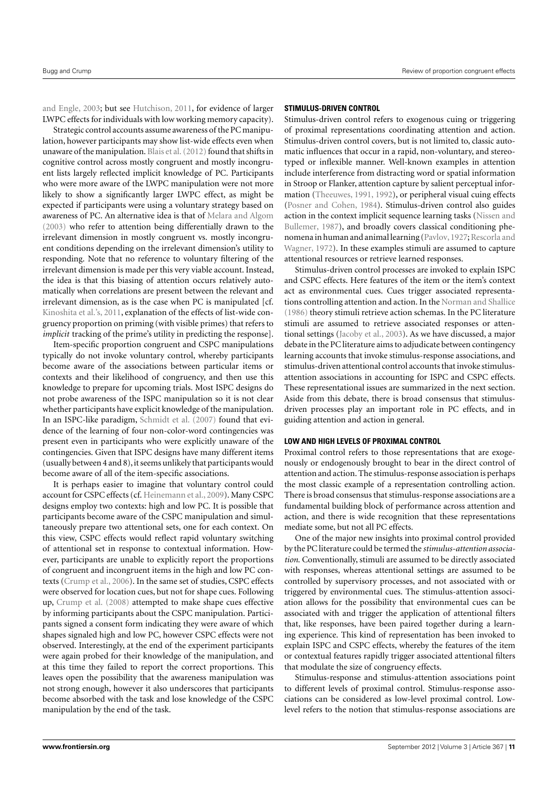[and Engle,](#page-14-11) [2003;](#page-14-11) but see [Hutchison,](#page-14-18) [2011,](#page-14-18) for evidence of larger LWPC effects for individuals with low working memory capacity).

Strategic control accounts assume awareness of the PC manipulation, however participants may show list-wide effects even when unaware of the manipulation. Blais et al. (2012) found that shifts in cognitive control across mostly congruent and mostly incongruent lists largely reflected implicit knowledge of PC. Participants who were more aware of the LWPC manipulation were not more likely to show a significantly larger LWPC effect, as might be expected if participants were using a voluntary strategy based on awareness of PC. An alternative idea is that of [Melara and Algom](#page-15-10) [\(2003\)](#page-15-10) who refer to attention being differentially drawn to the irrelevant dimension in mostly congruent vs. mostly incongruent conditions depending on the irrelevant dimension's utility to responding. Note that no reference to voluntary filtering of the irrelevant dimension is made per this very viable account. Instead, the idea is that this biasing of attention occurs relatively automatically when correlations are present between the relevant and irrelevant dimension, as is the case when PC is manipulated [cf. [Kinoshita et al.'s,](#page-15-26) [2011,](#page-15-26) explanation of the effects of list-wide congruency proportion on priming (with visible primes) that refers to *implicit* tracking of the prime's utility in predicting the response].

Item-specific proportion congruent and CSPC manipulations typically do not invoke voluntary control, whereby participants become aware of the associations between particular items or contexts and their likelihood of congruency, and then use this knowledge to prepare for upcoming trials. Most ISPC designs do not probe awareness of the ISPC manipulation so it is not clear whether participants have explicit knowledge of the manipulation. In an ISPC-like paradigm, [Schmidt et al.](#page-15-11) [\(2007\)](#page-15-11) found that evidence of the learning of four non-color-word contingencies was present even in participants who were explicitly unaware of the contingencies. Given that ISPC designs have many different items (usually between 4 and 8),it seems unlikely that participants would become aware of all of the item-specific associations.

It is perhaps easier to imagine that voluntary control could account for CSPC effects (cf. [Heinemann et al.,](#page-14-36) [2009\)](#page-14-36). Many CSPC designs employ two contexts: high and low PC. It is possible that participants become aware of the CSPC manipulation and simultaneously prepare two attentional sets, one for each context. On this view, CSPC effects would reflect rapid voluntary switching of attentional set in response to contextual information. However, participants are unable to explicitly report the proportions of congruent and incongruent items in the high and low PC contexts [\(Crump et al.,](#page-14-27) [2006\)](#page-14-27). In the same set of studies, CSPC effects were observed for location cues, but not for shape cues. Following up, [Crump et al.](#page-14-34) [\(2008\)](#page-14-34) attempted to make shape cues effective by informing participants about the CSPC manipulation. Participants signed a consent form indicating they were aware of which shapes signaled high and low PC, however CSPC effects were not observed. Interestingly, at the end of the experiment participants were again probed for their knowledge of the manipulation, and at this time they failed to report the correct proportions. This leaves open the possibility that the awareness manipulation was not strong enough, however it also underscores that participants become absorbed with the task and lose knowledge of the CSPC manipulation by the end of the task.

## **STIMULUS-DRIVEN CONTROL**

Stimulus-driven control refers to exogenous cuing or triggering of proximal representations coordinating attention and action. Stimulus-driven control covers, but is not limited to, classic automatic influences that occur in a rapid, non-voluntary, and stereotyped or inflexible manner. Well-known examples in attention include interference from distracting word or spatial information in Stroop or Flanker, attention capture by salient perceptual information [\(Theeuwes,](#page-15-27) [1991,](#page-15-27) [1992\)](#page-15-28), or peripheral visual cuing effects [\(Posner and Cohen,](#page-15-29) [1984\)](#page-15-29). Stimulus-driven control also guides action in the context implicit sequence learning tasks [\(Nissen and](#page-15-18) [Bullemer,](#page-15-18) [1987\)](#page-15-18), and broadly covers classical conditioning phe-nomena in human and animal learning (Pavlov, 1927; [Rescorla and](#page-15-31) [Wagner,](#page-15-31) [1972\)](#page-15-31). In these examples stimuli are assumed to capture attentional resources or retrieve learned responses.

Stimulus-driven control processes are invoked to explain ISPC and CSPC effects. Here features of the item or the item's context act as environmental cues. Cues trigger associated representations controlling attention and action. In the [Norman and Shallice](#page-15-2) [\(1986\)](#page-15-2) theory stimuli retrieve action schemas. In the PC literature stimuli are assumed to retrieve associated responses or attentional settings [\(Jacoby et al.,](#page-14-1) [2003\)](#page-14-1). As we have discussed, a major debate in the PC literature aims to adjudicate between contingency learning accounts that invoke stimulus-response associations, and stimulus-driven attentional control accounts that invoke stimulusattention associations in accounting for ISPC and CSPC effects. These representational issues are summarized in the next section. Aside from this debate, there is broad consensus that stimulusdriven processes play an important role in PC effects, and in guiding attention and action in general.

#### **LOW AND HIGH LEVELS OF PROXIMAL CONTROL**

Proximal control refers to those representations that are exogenously or endogenously brought to bear in the direct control of attention and action. The stimulus-response association is perhaps the most classic example of a representation controlling action. There is broad consensus that stimulus-response associations are a fundamental building block of performance across attention and action, and there is wide recognition that these representations mediate some, but not all PC effects.

One of the major new insights into proximal control provided by the PC literature could be termed the *stimulus-attention association*. Conventionally, stimuli are assumed to be directly associated with responses, whereas attentional settings are assumed to be controlled by supervisory processes, and not associated with or triggered by environmental cues. The stimulus-attention association allows for the possibility that environmental cues can be associated with and trigger the application of attentional filters that, like responses, have been paired together during a learning experience. This kind of representation has been invoked to explain ISPC and CSPC effects, whereby the features of the item or contextual features rapidly trigger associated attentional filters that modulate the size of congruency effects.

Stimulus-response and stimulus-attention associations point to different levels of proximal control. Stimulus-response associations can be considered as low-level proximal control. Lowlevel refers to the notion that stimulus-response associations are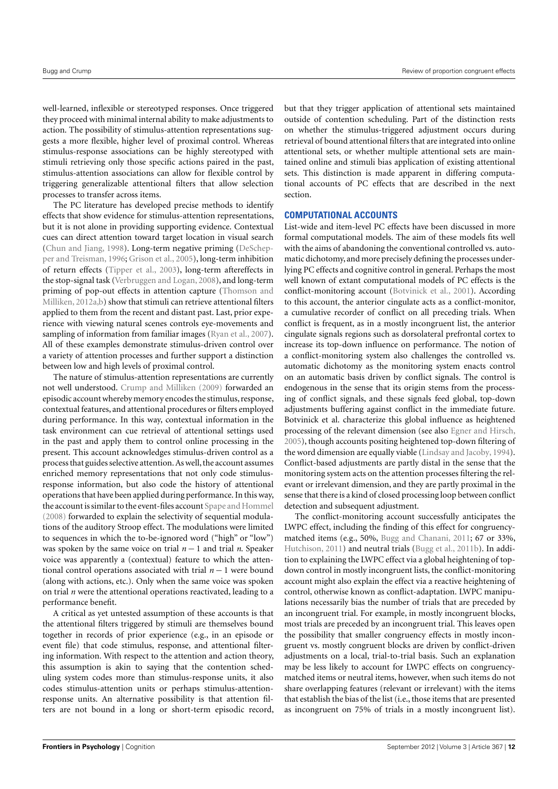well-learned, inflexible or stereotyped responses. Once triggered they proceed with minimal internal ability to make adjustments to action. The possibility of stimulus-attention representations suggests a more flexible, higher level of proximal control. Whereas stimulus-response associations can be highly stereotyped with stimuli retrieving only those specific actions paired in the past, stimulus-attention associations can allow for flexible control by triggering generalizable attentional filters that allow selection processes to transfer across items.

The PC literature has developed precise methods to identify effects that show evidence for stimulus-attention representations, but it is not alone in providing supporting evidence. Contextual cues can direct attention toward target location in visual search [\(Chun and Jiang,](#page-14-47) [1998\)](#page-14-47). Long-term negative priming [\(DeSchep](#page-14-48)[per and Treisman,](#page-14-48) [1996;](#page-14-48) [Grison et al.,](#page-14-49) [2005\)](#page-14-49), long-term inhibition of return effects [\(Tipper et al.,](#page-15-32) [2003\)](#page-15-32), long-term aftereffects in the stop-signal task [\(Verbruggen and Logan,](#page-15-33) [2008\)](#page-15-33), and long-term priming of pop-out effects in attention capture [\(Thomson and](#page-15-34) [Milliken,](#page-15-34) [2012a](#page-15-34)[,b\)](#page-15-35) show that stimuli can retrieve attentional filters applied to them from the recent and distant past. Last, prior experience with viewing natural scenes controls eye-movements and sampling of information from familiar images [\(Ryan et al.,](#page-15-36) [2007\)](#page-15-36). All of these examples demonstrate stimulus-driven control over a variety of attention processes and further support a distinction between low and high levels of proximal control.

The nature of stimulus-attention representations are currently not well understood. [Crump and Milliken](#page-14-28) [\(2009\)](#page-14-28) forwarded an episodic account whereby memory encodes the stimulus, response, contextual features, and attentional procedures or filters employed during performance. In this way, contextual information in the task environment can cue retrieval of attentional settings used in the past and apply them to control online processing in the present. This account acknowledges stimulus-driven control as a process that guides selective attention.As well, the account assumes enriched memory representations that not only code stimulusresponse information, but also code the history of attentional operations that have been applied during performance. In this way, the account is similar to the event-files account [Spape and Hommel](#page-15-37) [\(2008\)](#page-15-37) forwarded to explain the selectivity of sequential modulations of the auditory Stroop effect. The modulations were limited to sequences in which the to-be-ignored word ("high" or "low") was spoken by the same voice on trial *n* − 1 and trial *n*. Speaker voice was apparently a (contextual) feature to which the attentional control operations associated with trial *n* − 1 were bound (along with actions, etc.). Only when the same voice was spoken on trial *n* were the attentional operations reactivated, leading to a performance benefit.

A critical as yet untested assumption of these accounts is that the attentional filters triggered by stimuli are themselves bound together in records of prior experience (e.g., in an episode or event file) that code stimulus, response, and attentional filtering information. With respect to the attention and action theory, this assumption is akin to saying that the contention scheduling system codes more than stimulus-response units, it also codes stimulus-attention units or perhaps stimulus-attentionresponse units. An alternative possibility is that attention filters are not bound in a long or short-term episodic record,

but that they trigger application of attentional sets maintained outside of contention scheduling. Part of the distinction rests on whether the stimulus-triggered adjustment occurs during retrieval of bound attentional filters that are integrated into online attentional sets, or whether multiple attentional sets are maintained online and stimuli bias application of existing attentional sets. This distinction is made apparent in differing computational accounts of PC effects that are described in the next section.

# **COMPUTATIONAL ACCOUNTS**

List-wide and item-level PC effects have been discussed in more formal computational models. The aim of these models fits well with the aims of abandoning the conventional controlled vs. automatic dichotomy, and more precisely defining the processes underlying PC effects and cognitive control in general. Perhaps the most well known of extant computational models of PC effects is the conflict-monitoring account [\(Botvinick et al.,](#page-14-24) [2001\)](#page-14-24). According to this account, the anterior cingulate acts as a conflict-monitor, a cumulative recorder of conflict on all preceding trials. When conflict is frequent, as in a mostly incongruent list, the anterior cingulate signals regions such as dorsolateral prefrontal cortex to increase its top-down influence on performance. The notion of a conflict-monitoring system also challenges the controlled vs. automatic dichotomy as the monitoring system enacts control on an automatic basis driven by conflict signals. The control is endogenous in the sense that its origin stems from the processing of conflict signals, and these signals feed global, top-down adjustments buffering against conflict in the immediate future. Botvinick et al. characterize this global influence as heightened processing of the relevant dimension (see also [Egner and Hirsch,](#page-14-50) [2005\)](#page-14-50), though accounts positing heightened top-down filtering of the word dimension are equally viable [\(Lindsay and Jacoby,](#page-14-10) [1994\)](#page-14-10). Conflict-based adjustments are partly distal in the sense that the monitoring system acts on the attention processes filtering the relevant or irrelevant dimension, and they are partly proximal in the sense that there is a kind of closed processing loop between conflict detection and subsequent adjustment.

The conflict-monitoring account successfully anticipates the LWPC effect, including the finding of this effect for congruencymatched items (e.g., 50%, [Bugg and Chanani,](#page-14-25) [2011;](#page-14-25) 67 or 33%, [Hutchison,](#page-14-18) [2011\)](#page-14-18) and neutral trials [\(Bugg et al.,](#page-14-26) [2011b\)](#page-14-26). In addition to explaining the LWPC effect via a global heightening of topdown control in mostly incongruent lists, the conflict-monitoring account might also explain the effect via a reactive heightening of control, otherwise known as conflict-adaptation. LWPC manipulations necessarily bias the number of trials that are preceded by an incongruent trial. For example, in mostly incongruent blocks, most trials are preceded by an incongruent trial. This leaves open the possibility that smaller congruency effects in mostly incongruent vs. mostly congruent blocks are driven by conflict-driven adjustments on a local, trial-to-trial basis. Such an explanation may be less likely to account for LWPC effects on congruencymatched items or neutral items, however, when such items do not share overlapping features (relevant or irrelevant) with the items that establish the bias of the list (i.e., those items that are presented as incongruent on 75% of trials in a mostly incongruent list).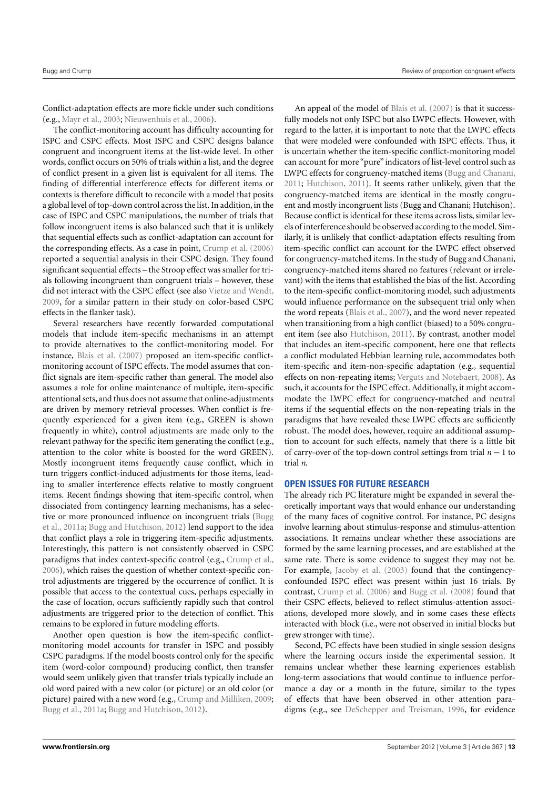Conflict-adaptation effects are more fickle under such conditions (e.g., [Mayr et al.,](#page-15-38) [2003;](#page-15-38) [Nieuwenhuis et al.,](#page-15-39) [2006\)](#page-15-39).

The conflict-monitoring account has difficulty accounting for ISPC and CSPC effects. Most ISPC and CSPC designs balance congruent and incongruent items at the list-wide level. In other words, conflict occurs on 50% of trials within a list, and the degree of conflict present in a given list is equivalent for all items. The finding of differential interference effects for different items or contexts is therefore difficult to reconcile with a model that posits a global level of top-down control across the list. In addition, in the case of ISPC and CSPC manipulations, the number of trials that follow incongruent items is also balanced such that it is unlikely that sequential effects such as conflict-adaptation can account for the corresponding effects. As a case in point, [Crump et al.](#page-14-27) [\(2006\)](#page-14-27) reported a sequential analysis in their CSPC design. They found significant sequential effects – the Stroop effect was smaller for trials following incongruent than congruent trials – however, these did not interact with the CSPC effect (see also [Vietze and Wendt,](#page-15-19) [2009,](#page-15-19) for a similar pattern in their study on color-based CSPC effects in the flanker task).

Several researchers have recently forwarded computational models that include item-specific mechanisms in an attempt to provide alternatives to the conflict-monitoring model. For instance, [Blais et al.](#page-14-22) [\(2007\)](#page-14-22) proposed an item-specific conflictmonitoring account of ISPC effects. The model assumes that conflict signals are item-specific rather than general. The model also assumes a role for online maintenance of multiple, item-specific attentional sets, and thus does not assume that online-adjustments are driven by memory retrieval processes. When conflict is frequently experienced for a given item (e.g., GREEN is shown frequently in white), control adjustments are made only to the relevant pathway for the specific item generating the conflict (e.g., attention to the color white is boosted for the word GREEN). Mostly incongruent items frequently cause conflict, which in turn triggers conflict-induced adjustments for those items, leading to smaller interference effects relative to mostly congruent items. Recent findings showing that item-specific control, when dissociated from contingency learning mechanisms, has a selective or more pronounced influence on incongruent trials [\(Bugg](#page-14-20) [et al.,](#page-14-20) [2011a;](#page-14-20) [Bugg and Hutchison,](#page-14-23) [2012\)](#page-14-23) lend support to the idea that conflict plays a role in triggering item-specific adjustments. Interestingly, this pattern is not consistently observed in CSPC paradigms that index context-specific control (e.g., [Crump et al.,](#page-14-27) [2006\)](#page-14-27), which raises the question of whether context-specific control adjustments are triggered by the occurrence of conflict. It is possible that access to the contextual cues, perhaps especially in the case of location, occurs sufficiently rapidly such that control adjustments are triggered prior to the detection of conflict. This remains to be explored in future modeling efforts.

Another open question is how the item-specific conflictmonitoring model accounts for transfer in ISPC and possibly CSPC paradigms. If the model boosts control only for the specific item (word-color compound) producing conflict, then transfer would seem unlikely given that transfer trials typically include an old word paired with a new color (or picture) or an old color (or picture) paired with a new word (e.g., [Crump and Milliken,](#page-14-28) [2009;](#page-14-28) [Bugg et al.,](#page-14-20) [2011a;](#page-14-20) [Bugg and Hutchison,](#page-14-23) [2012\)](#page-14-23).

An appeal of the model of [Blais et al.](#page-14-22) [\(2007\)](#page-14-22) is that it successfully models not only ISPC but also LWPC effects. However, with regard to the latter, it is important to note that the LWPC effects that were modeled were confounded with ISPC effects. Thus, it is uncertain whether the item-specific conflict-monitoring model can account for more "pure" indicators of list-level control such as LWPC effects for congruency-matched items [\(Bugg and Chanani,](#page-14-25) [2011;](#page-14-25) [Hutchison,](#page-14-18) [2011\)](#page-14-18). It seems rather unlikely, given that the congruency-matched items are identical in the mostly congruent and mostly incongruent lists (Bugg and Chanani; Hutchison). Because conflict is identical for these items across lists, similar levels of interference should be observed according to the model. Similarly, it is unlikely that conflict-adaptation effects resulting from item-specific conflict can account for the LWPC effect observed for congruency-matched items. In the study of Bugg and Chanani, congruency-matched items shared no features (relevant or irrelevant) with the items that established the bias of the list. According to the item-specific conflict-monitoring model, such adjustments would influence performance on the subsequent trial only when the word repeats [\(Blais et al.,](#page-14-22) [2007\)](#page-14-22), and the word never repeated when transitioning from a high conflict (biased) to a 50% congruent item (see also [Hutchison,](#page-14-18) [2011\)](#page-14-18). By contrast, another model that includes an item-specific component, here one that reflects a conflict modulated Hebbian learning rule, accommodates both item-specific and item-non-specific adaptation (e.g., sequential effects on non-repeating items; [Verguts and Notebaert,](#page-15-40) [2008\)](#page-15-40). As such, it accounts for the ISPC effect. Additionally, it might accommodate the LWPC effect for congruency-matched and neutral items if the sequential effects on the non-repeating trials in the paradigms that have revealed these LWPC effects are sufficiently robust. The model does, however, require an additional assumption to account for such effects, namely that there is a little bit of carry-over of the top-down control settings from trial *n* − 1 to trial *n*.

#### **OPEN ISSUES FOR FUTURE RESEARCH**

The already rich PC literature might be expanded in several theoretically important ways that would enhance our understanding of the many faces of cognitive control. For instance, PC designs involve learning about stimulus-response and stimulus-attention associations. It remains unclear whether these associations are formed by the same learning processes, and are established at the same rate. There is some evidence to suggest they may not be. For example, [Jacoby et al.](#page-14-1) [\(2003\)](#page-14-1) found that the contingencyconfounded ISPC effect was present within just 16 trials. By contrast, [Crump et al.](#page-14-27) [\(2006\)](#page-14-27) and [Bugg et al.](#page-14-2) [\(2008\)](#page-14-2) found that their CSPC effects, believed to reflect stimulus-attention associations, developed more slowly, and in some cases these effects interacted with block (i.e., were not observed in initial blocks but grew stronger with time).

Second, PC effects have been studied in single session designs where the learning occurs inside the experimental session. It remains unclear whether these learning experiences establish long-term associations that would continue to influence performance a day or a month in the future, similar to the types of effects that have been observed in other attention paradigms (e.g., see [DeSchepper and Treisman,](#page-14-48) [1996,](#page-14-48) for evidence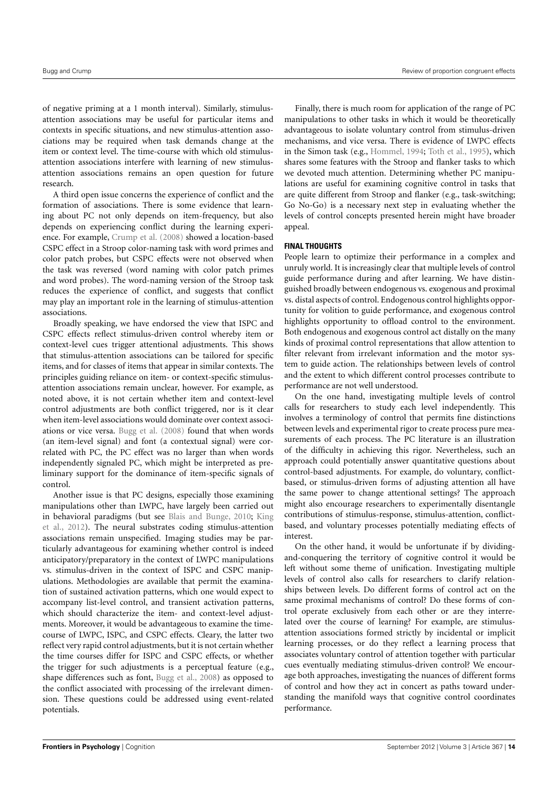of negative priming at a 1 month interval). Similarly, stimulusattention associations may be useful for particular items and contexts in specific situations, and new stimulus-attention associations may be required when task demands change at the item or context level. The time-course with which old stimulusattention associations interfere with learning of new stimulusattention associations remains an open question for future research.

A third open issue concerns the experience of conflict and the formation of associations. There is some evidence that learning about PC not only depends on item-frequency, but also depends on experiencing conflict during the learning experience. For example, [Crump et al.](#page-14-34) [\(2008\)](#page-14-34) showed a location-based CSPC effect in a Stroop color-naming task with word primes and color patch probes, but CSPC effects were not observed when the task was reversed (word naming with color patch primes and word probes). The word-naming version of the Stroop task reduces the experience of conflict, and suggests that conflict may play an important role in the learning of stimulus-attention associations.

Broadly speaking, we have endorsed the view that ISPC and CSPC effects reflect stimulus-driven control whereby item or context-level cues trigger attentional adjustments. This shows that stimulus-attention associations can be tailored for specific items, and for classes of items that appear in similar contexts. The principles guiding reliance on item- or context-specific stimulusattention associations remain unclear, however. For example, as noted above, it is not certain whether item and context-level control adjustments are both conflict triggered, nor is it clear when item-level associations would dominate over context associations or vice versa. [Bugg et al.](#page-14-2) [\(2008\)](#page-14-2) found that when words (an item-level signal) and font (a contextual signal) were correlated with PC, the PC effect was no larger than when words independently signaled PC, which might be interpreted as preliminary support for the dominance of item-specific signals of control.

Another issue is that PC designs, especially those examining manipulations other than LWPC, have largely been carried out in behavioral paradigms (but see [Blais and Bunge,](#page-14-14) [2010;](#page-14-14) [King](#page-14-37) [et al.,](#page-14-37) [2012\)](#page-14-37). The neural substrates coding stimulus-attention associations remain unspecified. Imaging studies may be particularly advantageous for examining whether control is indeed anticipatory/preparatory in the context of LWPC manipulations vs. stimulus-driven in the context of ISPC and CSPC manipulations. Methodologies are available that permit the examination of sustained activation patterns, which one would expect to accompany list-level control, and transient activation patterns, which should characterize the item- and context-level adjustments. Moreover, it would be advantageous to examine the timecourse of LWPC, ISPC, and CSPC effects. Cleary, the latter two reflect very rapid control adjustments, but it is not certain whether the time courses differ for ISPC and CSPC effects, or whether the trigger for such adjustments is a perceptual feature (e.g., shape differences such as font, [Bugg et al.,](#page-14-2) [2008\)](#page-14-2) as opposed to the conflict associated with processing of the irrelevant dimension. These questions could be addressed using event-related potentials.

Finally, there is much room for application of the range of PC manipulations to other tasks in which it would be theoretically advantageous to isolate voluntary control from stimulus-driven mechanisms, and vice versa. There is evidence of LWPC effects in the Simon task (e.g., [Hommel,](#page-14-51) [1994;](#page-14-51) [Toth et al.,](#page-15-41) [1995\)](#page-15-41), which shares some features with the Stroop and flanker tasks to which we devoted much attention. Determining whether PC manipulations are useful for examining cognitive control in tasks that are quite different from Stroop and flanker (e.g., task-switching; Go No-Go) is a necessary next step in evaluating whether the levels of control concepts presented herein might have broader appeal.

# **FINAL THOUGHTS**

People learn to optimize their performance in a complex and unruly world. It is increasingly clear that multiple levels of control guide performance during and after learning. We have distinguished broadly between endogenous vs. exogenous and proximal vs. distal aspects of control. Endogenous control highlights opportunity for volition to guide performance, and exogenous control highlights opportunity to offload control to the environment. Both endogenous and exogenous control act distally on the many kinds of proximal control representations that allow attention to filter relevant from irrelevant information and the motor system to guide action. The relationships between levels of control and the extent to which different control processes contribute to performance are not well understood.

On the one hand, investigating multiple levels of control calls for researchers to study each level independently. This involves a terminology of control that permits fine distinctions between levels and experimental rigor to create process pure measurements of each process. The PC literature is an illustration of the difficulty in achieving this rigor. Nevertheless, such an approach could potentially answer quantitative questions about control-based adjustments. For example, do voluntary, conflictbased, or stimulus-driven forms of adjusting attention all have the same power to change attentional settings? The approach might also encourage researchers to experimentally disentangle contributions of stimulus-response, stimulus-attention, conflictbased, and voluntary processes potentially mediating effects of interest.

On the other hand, it would be unfortunate if by dividingand-conquering the territory of cognitive control it would be left without some theme of unification. Investigating multiple levels of control also calls for researchers to clarify relationships between levels. Do different forms of control act on the same proximal mechanisms of control? Do these forms of control operate exclusively from each other or are they interrelated over the course of learning? For example, are stimulusattention associations formed strictly by incidental or implicit learning processes, or do they reflect a learning process that associates voluntary control of attention together with particular cues eventually mediating stimulus-driven control? We encourage both approaches, investigating the nuances of different forms of control and how they act in concert as paths toward understanding the manifold ways that cognitive control coordinates performance.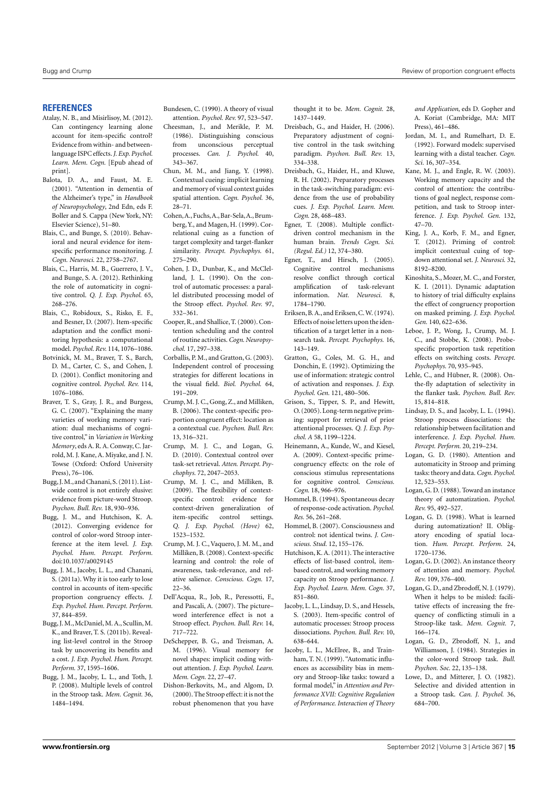#### **REFERENCES**

- <span id="page-14-19"></span>Atalay, N. B., and Misirlisoy, M. (2012). Can contingency learning alone account for item-specific control? Evidence from within- and betweenlanguage ISPC effects.*J. Exp. Psychol. Learn. Mem. Cogn.* [Epub ahead of print].
- <span id="page-14-45"></span>Balota, D. A., and Faust, M. E. (2001). "Attention in dementia of the Alzheimer's type," in *Handbook of Neuropsychology*, 2nd Edn, eds F. Boller and S. Cappa (New York, NY: Elsevier Science), 51–80.
- <span id="page-14-14"></span>Blais, C., and Bunge, S. (2010). Behavioral and neural evidence for itemspecific performance monitoring. *J. Cogn. Neurosci.* 22, 2758–2767.
- <span id="page-14-46"></span>Blais, C., Harris, M. B., Guerrero, J. V., and Bunge, S. A. (2012). Rethinking the role of automaticity in cognitive control. *Q. J. Exp. Psychol.* 65, 268–276.
- <span id="page-14-22"></span>Blais, C., Robidoux, S., Risko, E. F., and Besner, D. (2007). Item-specific adaptation and the conflict monitoring hypothesis: a computational model. *Psychol. Rev.* 114, 1076–1086.
- <span id="page-14-24"></span>Botvinick, M. M., Braver, T. S., Barch, D. M., Carter, C. S., and Cohen, J. D. (2001). Conflict monitoring and cognitive control. *Psychol. Rev.* 114, 1076–1086.
- <span id="page-14-13"></span>Braver, T. S., Gray, J. R., and Burgess, G. C. (2007). "Explaining the many varieties of working memory variation: dual mechanisms of cognitive control," in *Variation in Working Memory*, eds A. R. A. Conway, C. Jarrold, M. J. Kane, A. Miyake, and J. N. Towse (Oxford: Oxford University Press), 76–106.
- <span id="page-14-25"></span>Bugg, J.M., and Chanani,S. (2011). Listwide control is not entirely elusive: evidence from picture-word Stroop. *Psychon. Bull. Rev.* 18, 930–936.
- <span id="page-14-23"></span>Bugg, J. M., and Hutchison, K. A. (2012). Converging evidence for control of color-word Stroop interference at the item level. *J. Exp. Psychol. Hum. Percept. Perform.* doi[:10.1037/a0029145](http://dx.doi.org/10.1037/a0029145)
- <span id="page-14-20"></span>Bugg, J. M., Jacoby, L. L., and Chanani, S. (2011a). Why it is too early to lose control in accounts of item-specific proportion congruency effects. *J. Exp. Psychol. Hum. Percept. Perform.* 37, 844–859.
- <span id="page-14-26"></span>Bugg, J. M., McDaniel, M. A., Scullin, M. K., and Braver, T. S. (2011b). Revealing list-level control in the Stroop task by uncovering its benefits and a cost. *J. Exp. Psychol. Hum. Percept. Perform.* 37, 1595–1606.
- <span id="page-14-2"></span>Bugg, J. M., Jacoby, L. L., and Toth, J. P. (2008). Multiple levels of control in the Stroop task. *Mem. Cognit.* 36, 1484–1494.

<span id="page-14-43"></span>Bundesen, C. (1990). A theory of visual attention. *Psychol. Rev.* 97, 523–547.

- <span id="page-14-9"></span>Cheesman, J., and Merikle, P. M. (1986). Distinguishing conscious from unconscious perceptual processes. *Can. J. Psychol.* 40, 343–367.
- <span id="page-14-47"></span>Chun, M. M., and Jiang, Y. (1998). Contextual cueing: implicit learning and memory of visual context guides spatial attention. *Cogn. Psychol.* 36, 28–71.
- <span id="page-14-30"></span>Cohen,A., Fuchs,A.,Bar-Sela,A.,Brumberg, Y., and Magen, H. (1999). Correlational cuing as a function of target complexity and target-flanker similarity. *Percept. Psychophys.* 61, 275–290.
- <span id="page-14-42"></span>Cohen, J. D., Dunbar, K., and McClelland, J. L. (1990). On the control of automatic processes: a parallel distributed processing model of the Stroop effect. *Psychol. Rev.* 97, 332–361.
- <span id="page-14-4"></span>Cooper, R., and Shallice, T. (2000). Contention scheduling and the control of routine activities.*Cogn. Neuropsychol.* 17, 297–338.
- <span id="page-14-31"></span>Corballis, P. M., and Gratton, G. (2003). Independent control of processing strategies for different locations in the visual field. *Biol. Psychol.* 64, 191–209.
- <span id="page-14-27"></span>Crump, M. J. C., Gong, Z., and Milliken, B. (2006). The context-specific proportion congruent effect: location as a contextual cue. *Psychon. Bull. Rev.* 13, 316–321.
- <span id="page-14-41"></span>Crump, M. J. C., and Logan, G. D. (2010). Contextual control over task-set retrieval. *Atten. Percept. Psychophys.* 72, 2047–2053.
- <span id="page-14-28"></span>Crump, M. J. C., and Milliken, B. (2009). The flexibility of contextspecific control: evidence for context-driven generalization of item-specific control settings. *Q. J. Exp. Psychol. (Hove)* 62, 1523–1532.
- <span id="page-14-34"></span>Crump, M. J. C., Vaquero, J. M. M., and Milliken, B. (2008). Context-specific learning and control: the role of awareness, task-relevance, and relative salience. *Conscious. Cogn.* 17, 22–36.
- <span id="page-14-21"></span>Dell'Acqua, R., Job, R., Peressotti, F., and Pascali, A. (2007). The picture– word interference effect is not a Stroop effect. *Psychon. Bull. Rev.* 14, 717–722.
- <span id="page-14-48"></span>DeSchepper, B. G., and Treisman, A. M. (1996). Visual memory for novel shapes: implicit coding without attention. *J. Exp. Psychol. Learn. Mem. Cogn.* 22, 27–47.
- <span id="page-14-17"></span>Dishon-Berkovits, M., and Algom, D. (2000). The Stroop effect: it is not the robust phenomenon that you have

thought it to be. *Mem. Cognit.* 28, 1437–1449.

- <span id="page-14-39"></span>Dreisbach, G., and Haider, H. (2006). Preparatory adjustment of cognitive control in the task switching paradigm. *Psychon. Bull. Rev.* 13, 334–338.
- <span id="page-14-38"></span>Dreisbach, G., Haider, H., and Kluwe, R. H. (2002). Preparatory processes in the task-switching paradigm: evidence from the use of probability cues. *J. Exp. Psychol. Learn. Mem. Cogn.* 28, 468–483.
- <span id="page-14-3"></span>Egner, T. (2008). Multiple conflictdriven control mechanism in the human brain. *Trends Cogn. Sci. (Regul. Ed.)* 12, 374–380.
- <span id="page-14-50"></span>Egner, T., and Hirsch, J. (2005). Cognitive control mechanisms resolve conflict through cortical amplification of task-relevant information. *Nat. Neurosci.* 8, 1784–1790.
- <span id="page-14-29"></span>Eriksen,B.A., and Eriksen,C.W. (1974). Effects of noise letters upon the identification of a target letter in a nonsearch task. *Percept. Psychophys.* 16, 143–149.
- <span id="page-14-33"></span>Gratton, G., Coles, M. G. H., and Donchin, E. (1992). Optimizing the use of information: strategic control of activation and responses. *J. Exp. Psychol. Gen.* 121, 480–506.
- <span id="page-14-49"></span>Grison, S., Tipper, S. P., and Hewitt, O. (2005). Long-term negative priming: support for retrieval of prior attentional processes. *Q. J. Exp. Psychol. A* 58, 1199–1224.
- <span id="page-14-36"></span>Heinemann, A., Kunde, W., and Kiesel, A. (2009). Context-specific primecongruency effects: on the role of conscious stimulus representations for cognitive control. *Conscious. Cogn.* 18, 966–976.
- <span id="page-14-51"></span>Hommel, B. (1994). Spontaneous decay of response-code activation. *Psychol. Res.* 56, 261–268.
- <span id="page-14-6"></span>Hommel, B. (2007). Consciousness and control: not identical twins. *J. Conscious. Stud.* 12, 155–176.
- <span id="page-14-18"></span>Hutchison, K. A. (2011). The interactive effects of list-based control, itembased control, and working memory capacity on Stroop performance. *J. Exp. Psychol. Learn. Mem. Cogn.* 37, 851–860.
- <span id="page-14-1"></span>Jacoby, L. L., Lindsay, D. S., and Hessels, S. (2003). Item-specific control of automatic processes: Stroop process dissociations. *Psychon. Bull. Rev.* 10, 638–644.
- <span id="page-14-15"></span>Jacoby, L. L., McElree, B., and Trainham, T. N. (1999). "Automatic influences as accessibility bias in memory and Stroop-like tasks: toward a formal model," in *Attention and Performance XVII: Cognitive Regulation of Performance. Interaction of Theory*

*and Application*, eds D. Gopher and A. Koriat (Cambridge, MA: MIT Press), 461–486.

- <span id="page-14-5"></span>Jordan, M. I., and Rumelhart, D. E. (1992). Forward models: supervised learning with a distal teacher. *Cogn. Sci.* 16, 307–354.
- <span id="page-14-11"></span>Kane, M. J., and Engle, R. W. (2003). Working memory capacity and the control of attention: the contributions of goal neglect, response competition, and task to Stroop interference. *J. Exp. Psychol. Gen.* 132, 47–70.
- <span id="page-14-37"></span>King, J. A., Korb, F. M., and Egner, T. (2012). Priming of control: implicit contextual cuing of topdown attentional set. *J. Neurosci.* 32, 8192–8200.
- Kinoshita, S., Mozer, M. C., and Forster, K. I. (2011). Dynamic adaptation to history of trial difficulty explains the effect of congruency proportion on masked priming. *J. Exp. Psychol. Gen.* 140, 622–636.
- <span id="page-14-40"></span>Leboe, J. P., Wong, J., Crump, M. J. C., and Stobbe, K. (2008). Probespecific proportion task repetition effects on switching costs. *Percept. Psychophys.* 70, 935–945.
- <span id="page-14-32"></span>Lehle, C., and Hübner, R. (2008). Onthe-fly adaptation of selectivity in the flanker task. *Psychon. Bull. Rev.* 15, 814–818.
- <span id="page-14-10"></span>Lindsay, D. S., and Jacoby, L. L. (1994). Stroop process dissociations: the relationship between facilitation and interference. *J. Exp. Psychol. Hum. Percept. Perform.* 20, 219–234.
- <span id="page-14-12"></span>Logan, G. D. (1980). Attention and automaticity in Stroop and priming tasks: theory and data.*Cogn. Psychol.* 12, 523–553.
- <span id="page-14-16"></span>Logan, G. D. (1988). Toward an instance theory of automatization. *Psychol. Rev.* 95, 492–527.
- <span id="page-14-35"></span>Logan, G. D. (1998). What is learned during automatization? II. Obligatory encoding of spatial location*. Hum. Percept. Perform.* 24, 1720–1736.
- <span id="page-14-44"></span>Logan, G. D. (2002). An instance theory of attention and memory. *Psychol. Rev.* 109, 376–400.
- <span id="page-14-0"></span>Logan, G. D., and Zbrodoff, N. J. (1979). When it helps to be misled: facilitative effects of increasing the frequency of conflicting stimuli in a Stroop-like task. *Mem. Cognit.* 7, 166–174.
- <span id="page-14-8"></span>Logan, G. D., Zbrodoff, N. J., and Williamson, J. (1984). Strategies in the color-word Stroop task. *Bull. Psychon. Soc.* 22, 135–138.
- <span id="page-14-7"></span>Lowe, D., and Mitterer, J. O. (1982). Selective and divided attention in a Stroop task. *Can. J. Psychol.* 36, 684–700.